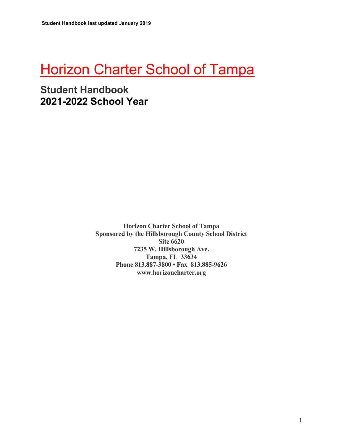# **Horizon Charter School of Tampa**

## **Student Handbook 2021-2022 School Year**

**Horizon Charter School of Tampa Sponsored by the Hillsborough County School District Site 6620 7235 W. Hillsborough Ave. Tampa, FL 33634 Phone 813.887-3800 • Fax 813.885-9626 www.horizoncharter.org**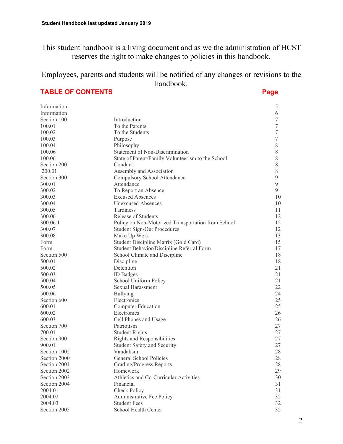This student handbook is a living document and as we the administration of HCST reserves the right to make changes to policies in this handbook.

Employees, parents and students will be notified of any changes or revisions to the handbook.

**TABLE OF CONTENTS Page 2012** 

| Information           |                                                                   | 5                |
|-----------------------|-------------------------------------------------------------------|------------------|
| Information           |                                                                   | 6                |
| Section 100           | Introduction                                                      | 7                |
| 100.01                | To the Parents                                                    | 7                |
| 100.02                | To the Students                                                   | $\boldsymbol{7}$ |
| 100.03                | Purpose                                                           | 7                |
| 100.04                | Philosophy                                                        | 8                |
| 100.06                | Statement of Non-Discrimination                                   | 8                |
| 100.06                | State of Parent/Family Volunteerism to the School                 | $8\,$            |
| Section 200           | Conduct                                                           | $8\,$            |
| 200.01                | Assembly and Association                                          | $\,$ $\,$        |
| Section 300           | Compulsory School Attendance                                      | 9                |
| 300.01                | Attendance                                                        | 9                |
| 300.02                | To Report an Absence                                              | 9                |
| 300.03                | <b>Excused Absences</b>                                           | 10               |
| 300.04                | <b>Unexcused Absences</b>                                         | 10               |
| 300.05                | Tardiness                                                         | 11               |
| 300.06                | Release of Students                                               | 12               |
| 300.06.1              | Policy on Non-Motorized Transportation from School                | 12               |
| 300.07                | <b>Student Sign-Out Procedures</b>                                | 12               |
| 300.08                |                                                                   | 13               |
| Form                  | Make Up Work<br>Student Discipline Matrix (Gold Card)             | 15               |
| Form                  |                                                                   | 17               |
|                       | Student Behavior/Discipline Referral Form                         |                  |
| Section 500<br>500.01 | School Climate and Discipline                                     | 18<br>18         |
| 500.02                | Discipline<br>Detention                                           | 21               |
|                       |                                                                   | 21               |
| 500.03<br>500.04      | <b>ID</b> Badges                                                  | 21               |
| 500.05                | School Uniform Policy<br>Sexual Harassment                        | 22               |
| 500.06                |                                                                   | 24               |
| Section 600           | <b>Bullying</b><br>Electronics                                    | 25               |
| 600.01                | <b>Computer Education</b>                                         | 25               |
|                       | Electronics                                                       | 26               |
| 600.02<br>600.03      |                                                                   | 26               |
| Section 700           | Cell Phones and Usage<br>Patriotism                               | 27               |
| 700.01                |                                                                   | 27               |
| Section 900           | <b>Student Rights</b>                                             | 27               |
| 900.01                | Rights and Responsibilities<br><b>Student Safety and Security</b> | 27               |
| Section 1002          | Vandalism                                                         | 28               |
| Section 2000          | General School Policies                                           | 28               |
| Section 2001          | Grading/Progress Reports                                          | 28               |
| Section 2002          | Homework                                                          | 29               |
| Section 2003          | Athletics and Co-Curricular Activities                            | 30               |
| Section 2004          | Financial                                                         | 31               |
| 2004.01               |                                                                   |                  |
|                       | Check Policy                                                      | 31               |
| 2004.02               | Administrative Fee Policy                                         | 32               |
| 2004.03               | <b>Student Fees</b>                                               | 32               |
| Section 2005          | School Health Center                                              | 32               |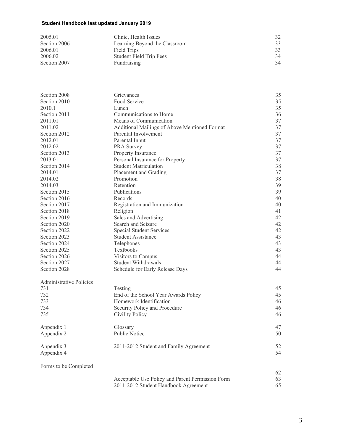| 2005.01      | Clinic, Health Issues          |    |
|--------------|--------------------------------|----|
| Section 2006 | Learning Beyond the Classroom  |    |
| 2006.01      | Field Trips                    |    |
| 2006.02      | <b>Student Field Trip Fees</b> | 34 |
| Section 2007 | Fundraising                    | 34 |

| Section 2008<br>Section 2010   | Grievances<br>Food Service                       | 35<br>35 |
|--------------------------------|--------------------------------------------------|----------|
| 2010.1                         |                                                  | 35       |
| Section 2011                   | Lunch<br>Communications to Home                  | 36       |
|                                |                                                  |          |
| 2011.01                        | Means of Communication                           | 37       |
| 2011.02                        | Additional Mailings of Above Mentioned Format    | 37       |
| Section 2012                   | Parental Involvement                             | 37       |
| 2012.01                        | Parental Input                                   | 37       |
| 2012.02                        | PRA Survey                                       | 37       |
| Section 2013                   | Property Insurance                               | 37       |
| 2013.01                        | Personal Insurance for Property                  | 37       |
| Section 2014                   | <b>Student Matriculation</b>                     | 38       |
| 2014.01                        | Placement and Grading                            | 37       |
| 2014.02                        | Promotion                                        | 38       |
| 2014.03                        | Retention                                        | 39       |
| Section 2015                   | Publications                                     | 39       |
| Section 2016                   | Records                                          | 40       |
| Section 2017                   | Registration and Immunization                    | 40       |
| Section 2018                   | Religion                                         | 41       |
| Section 2019                   | Sales and Advertising                            | 42       |
| Section 2020                   | Search and Seizure                               | 42       |
| Section 2022                   | Special Student Services                         | 42       |
| Section 2023                   | <b>Student Assistance</b>                        | 43       |
| Section 2024                   | Telephones                                       | 43       |
| Section 2025                   | Textbooks                                        | 43       |
| Section 2026                   | Visitors to Campus                               | 44       |
| Section 2027                   | Student Withdrawals                              | 44       |
| Section 2028                   |                                                  | 44       |
|                                | Schedule for Early Release Days                  |          |
| <b>Administrative Policies</b> |                                                  |          |
| 731                            | Testing                                          | 45       |
| 732                            | End of the School Year Awards Policy             | 45       |
| 733                            | Homework Identification                          | 46       |
| 734                            | Security Policy and Procedure                    | 46       |
| 735                            | <b>Civility Policy</b>                           | 46       |
| Appendix 1                     | Glossary                                         | 47       |
| Appendix 2                     | <b>Public Notice</b>                             | 50       |
| Appendix 3                     | 2011-2012 Student and Family Agreement           | 52       |
| Appendix 4                     |                                                  | 54       |
| Forms to be Completed          |                                                  |          |
|                                |                                                  | 62       |
|                                | Acceptable Use Policy and Parent Permission Form | 63       |
|                                | 2011-2012 Student Handbook Agreement             | 65       |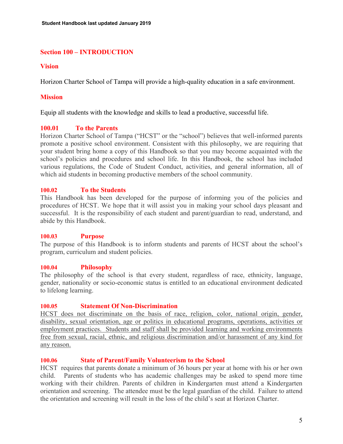## **Section 100 – INTRODUCTION**

## **Vision**

Horizon Charter School of Tampa will provide a high-quality education in a safe environment.

## **Mission**

Equip all students with the knowledge and skills to lead a productive, successful life.

## **100.01 To the Parents**

Horizon Charter School of Tampa ("HCST" or the "school") believes that well-informed parents promote a positive school environment. Consistent with this philosophy, we are requiring that your student bring home a copy of this Handbook so that you may become acquainted with the school's policies and procedures and school life. In this Handbook, the school has included various regulations, the Code of Student Conduct, activities, and general information, all of which aid students in becoming productive members of the school community.

## **100.02 To the Students**

This Handbook has been developed for the purpose of informing you of the policies and procedures of HCST. We hope that it will assist you in making your school days pleasant and successful. It is the responsibility of each student and parent/guardian to read, understand, and abide by this Handbook.

## **100.03 Purpose**

The purpose of this Handbook is to inform students and parents of HCST about the school's program, curriculum and student policies.

## **100.04 Philosophy**

The philosophy of the school is that every student, regardless of race, ethnicity, language, gender, nationality or socio-economic status is entitled to an educational environment dedicated to lifelong learning.

## **100.05 Statement Of Non-Discrimination**

HCST does not discriminate on the basis of race, religion, color, national origin, gender, disability, sexual orientation, age or politics in educational programs, operations, activities or employment practices. Students and staff shall be provided learning and working environments free from sexual, racial, ethnic, and religious discrimination and/or harassment of any kind for any reason.

## **100.06 State of Parent/Family Volunteerism to the School**

HCST requires that parents donate a minimum of 36 hours per year at home with his or her own child. Parents of students who has academic challenges may be asked to spend more time working with their children. Parents of children in Kindergarten must attend a Kindergarten orientation and screening. The attendee must be the legal guardian of the child. Failure to attend the orientation and screening will result in the loss of the child's seat at Horizon Charter.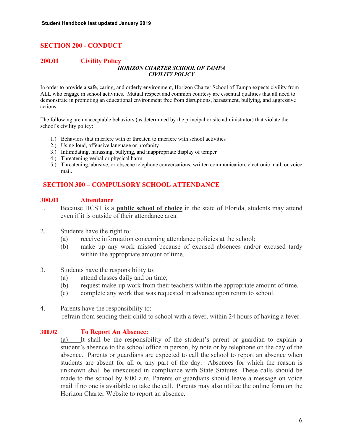## **SECTION 200 - CONDUCT**

#### **200.01 Civility Policy** *HORIZON CHARTER SCHOOL OF TAMPA CIVILITY POLICY*

In order to provide a safe, caring, and orderly environment, Horizon Charter School of Tampa expects civility from ALL who engage in school activities. Mutual respect and common courtesy are essential qualities that all need to demonstrate in promoting an educational environment free from disruptions, harassment, bullying, and aggressive actions.

The following are unacceptable behaviors (as determined by the principal or site administrator) that violate the school's civility policy:

- 1.) Behaviors that interfere with or threaten to interfere with school activities
- 2.) Using loud, offensive language or profanity
- 3.) Intimidating, harassing, bullying, and inappropriate display of temper
- 4.) Threatening verbal or physical harm
- 5.) Threatening, abusive, or obscene telephone conversations, written communication, electronic mail, or voice mail.

## **SECTION 300 – COMPULSORY SCHOOL ATTENDANCE**

## **300.01 Attendance**

- 1. Because HCST is a **public school of choice** in the state of Florida, students may attend even if it is outside of their attendance area.
- 2. Students have the right to:
	- (a) receive information concerning attendance policies at the school;
	- (b) make up any work missed because of excused absences and/or excused tardy within the appropriate amount of time.
- 3. Students have the responsibility to:
	- (a) attend classes daily and on time;
	- (b) request make-up work from their teachers within the appropriate amount of time.
	- (c) complete any work that was requested in advance upon return to school.

## 4. Parents have the responsibility to: refrain from sending their child to school with a fever, within 24 hours of having a fever.

## **300.02 To Report An Absence:**

(a) It shall be the responsibility of the student's parent or guardian to explain a student's absence to the school office in person, by note or by telephone on the day of the absence. Parents or guardians are expected to call the school to report an absence when students are absent for all or any part of the day. Absences for which the reason is unknown shall be unexcused in compliance with State Statutes. These calls should be made to the school by 8:00 a.m. Parents or guardians should leave a message on voice mail if no one is available to take the call. Parents may also utilize the online form on the Horizon Charter Website to report an absence.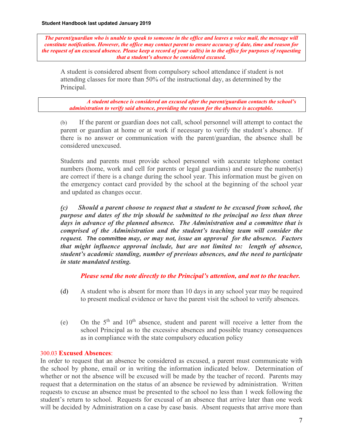*The parent/guardian who is unable to speak to someone in the office and leaves a voice mail, the message will constitute notification. However, the office may contact parent to ensure accuracy of date, time and reason for the request of an excused absence. Please keep a record of your call(s) in to the office for purposes of requesting that a student's absence be considered excused.* 

A student is considered absent from compulsory school attendance if student is not attending classes for more than 50% of the instructional day, as determined by the Principal.

*A student absence is considered an excused after the parent/guardian contacts the school's administration to verify said absence, providing the reason for the absence is acceptable.* 

(b) If the parent or guardian does not call, school personnel will attempt to contact the parent or guardian at home or at work if necessary to verify the student's absence. If there is no answer or communication with the parent/guardian, the absence shall be considered unexcused.

Students and parents must provide school personnel with accurate telephone contact numbers (home, work and cell for parents or legal guardians) and ensure the number(s) are correct if there is a change during the school year. This information must be given on the emergency contact card provided by the school at the beginning of the school year and updated as changes occur.

*(c) Should a parent choose to request that a student to be excused from school, the purpose and dates of the trip should be submitted to the principal no less than three days in advance of the planned absence. The Administration and a committee that is comprised of the Administration and the student's teaching team will consider the request. The committee may, or may not, issue an approval for the absence. Factors that might influence approval include, but are not limited to: length of absence, student's academic standing, number of previous absences, and the need to participate in state mandated testing.* 

*Please send the note directly to the Principal's attention, and not to the teacher.* 

- (d) A student who is absent for more than 10 days in any school year may be required to present medical evidence or have the parent visit the school to verify absences.
- (e) On the  $5<sup>th</sup>$  and  $10<sup>th</sup>$  absence, student and parent will receive a letter from the school Principal as to the excessive absences and possible truancy consequences as in compliance with the state compulsory education policy

## 300.03 **Excused Absences**:

In order to request that an absence be considered as excused, a parent must communicate with the school by phone, email or in writing the information indicated below. Determination of whether or not the absence will be excused will be made by the teacher of record. Parents may request that a determination on the status of an absence be reviewed by administration. Written requests to excuse an absence must be presented to the school no less than 1 week following the student's return to school. Requests for excusal of an absence that arrive later than one week will be decided by Administration on a case by case basis. Absent requests that arrive more than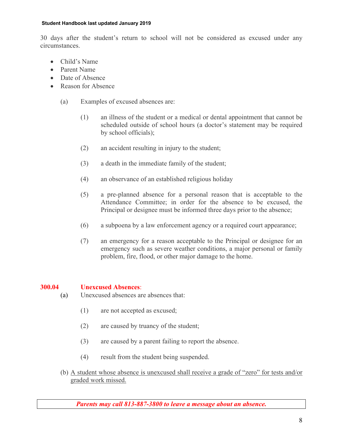30 days after the student's return to school will not be considered as excused under any circumstances.

- Child's Name
- Parent Name
- Date of Absence
- Reason for Absence
	- (a) Examples of excused absences are:
		- (1) an illness of the student or a medical or dental appointment that cannot be scheduled outside of school hours (a doctor's statement may be required by school officials);
		- (2) an accident resulting in injury to the student;
		- (3) a death in the immediate family of the student;
		- (4) an observance of an established religious holiday
		- (5) a pre-planned absence for a personal reason that is acceptable to the Attendance Committee; in order for the absence to be excused, the Principal or designee must be informed three days prior to the absence;
		- (6) a subpoena by a law enforcement agency or a required court appearance;
		- (7) an emergency for a reason acceptable to the Principal or designee for an emergency such as severe weather conditions, a major personal or family problem, fire, flood, or other major damage to the home.

## **300.04 Unexcused Absences**:

- (a) Unexcused absences are absences that:
	- (1) are not accepted as excused;
	- (2) are caused by truancy of the student;
	- (3) are caused by a parent failing to report the absence.
	- (4) result from the student being suspended.
- (b) A student whose absence is unexcused shall receive a grade of "zero" for tests and/or graded work missed.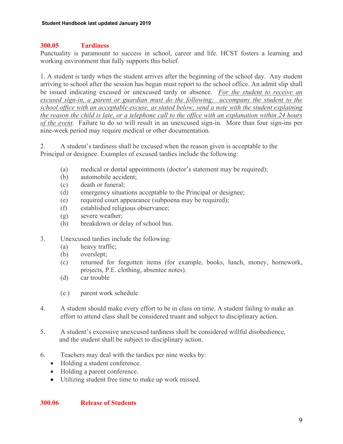## **300.05 Tardiness**

Punctuality is paramount to success in school, career and life. HCST fosters a learning and working environment that fully supports this belief.

1. A student is tardy when the student arrives after the beginning of the school day. Any student arriving to school after the session has begun must report to the school office. An admit slip shall be issued indicating excused or unexcused tardy or absence. *For the student to receive an excused sign-in, a parent or guardian must do the following: accompany the student to the school office with an acceptable excuse, as stated below; send a note with the student explaining the reason the child is late, or a telephone call to the office with an explanation within 24 hours of the event*. Failure to do so will result in an unexcused sign-in. More than four sign-ins per nine-week period may require medical or other documentation.

2. A student's tardiness shall be excused when the reason given is acceptable to the Principal or designee. Examples of excused tardies include the following:

- (a) medical or dental appointments (doctor's statement may be required);
- (b) automobile accident;
- (c) death or funeral;
- (d) emergency situations acceptable to the Principal or designee;
- (e) required court appearance (subpoena may be required);
- (f) established religious observance;
- (g) severe weather;
- (h) breakdown or delay of school bus.
- 3. Unexcused tardies include the following:
	- (a) heavy traffic;
	- (b) overslept;
	- (c) returned for forgotten items (for example, books, lunch, money, homework, projects, P.E. clothing, absentee notes).
	- (d) car trouble
	- (e ) parent work schedule
- 4. A student should make every effort to be in class on time. A student failing to make an effort to attend class shall be considered truant and subject to disciplinary action.
- 5. A student's excessive unexcused tardiness shall be considered willful disobedience, and the student shall be subject to disciplinary action.
- 6. Teachers may deal with the tardies per nine weeks by:
	- Holding a student conference.
	- Holding a parent conference.
	- Utilizing student free time to make up work missed.

## **300.06 Release of Students**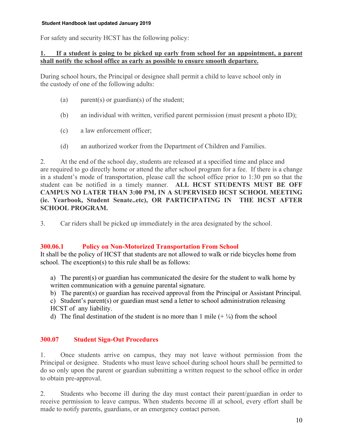For safety and security HCST has the following policy:

## **1. If a student is going to be picked up early from school for an appointment, a parent shall notify the school office as early as possible to ensure smooth departure.**

During school hours, the Principal or designee shall permit a child to leave school only in the custody of one of the following adults:

- (a) parent(s) or guardian(s) of the student;
- (b) an individual with written, verified parent permission (must present a photo ID);
- (c) a law enforcement officer;
- (d) an authorized worker from the Department of Children and Families.

2. At the end of the school day, students are released at a specified time and place and are required to go directly home or attend the after school program for a fee. If there is a change in a student's mode of transportation, please call the school office prior to 1:30 pm so that the student can be notified in a timely manner. **ALL HCST STUDENTS MUST BE OFF CAMPUS NO LATER THAN 3:00 PM, IN A SUPERVISED HCST SCHOOL MEETING (ie. Yearbook, Student Senate..etc), OR PARTICIPATING IN THE HCST AFTER SCHOOL PROGRAM.** 

3. Car riders shall be picked up immediately in the area designated by the school.

## **300.06.1 Policy on Non-Motorized Transportation From School**

It shall be the policy of HCST that students are not allowed to walk or ride bicycles home from school. The exception(s) to this rule shall be as follows:

- a) The parent(s) or guardian has communicated the desire for the student to walk home by written communication with a genuine parental signature.
- b) The parent(s) or guardian has received approval from the Principal or Assistant Principal.
- c) Student's parent(s) or guardian must send a letter to school administration releasing HCST of any liability.
- d) The final destination of the student is no more than 1 mile  $(+\frac{1}{4})$  from the school

## **300.07 Student Sign-Out Procedures**

1. Once students arrive on campus, they may not leave without permission from the Principal or designee. Students who must leave school during school hours shall be permitted to do so only upon the parent or guardian submitting a written request to the school office in order to obtain pre-approval.

2. Students who become ill during the day must contact their parent/guardian in order to receive permission to leave campus. When students become ill at school, every effort shall be made to notify parents, guardians, or an emergency contact person.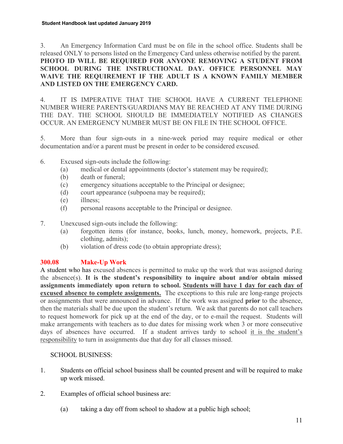3. An Emergency Information Card must be on file in the school office. Students shall be released ONLY to persons listed on the Emergency Card unless otherwise notified by the parent. **PHOTO ID WILL BE REQUIRED FOR ANYONE REMOVING A STUDENT FROM SCHOOL DURING THE INSTRUCTIONAL DAY. OFFICE PERSONNEL MAY WAIVE THE REQUIREMENT IF THE ADULT IS A KNOWN FAMILY MEMBER AND LISTED ON THE EMERGENCY CARD.** 

4. IT IS IMPERATIVE THAT THE SCHOOL HAVE A CURRENT TELEPHONE NUMBER WHERE PARENTS/GUARDIANS MAY BE REACHED AT ANY TIME DURING THE DAY. THE SCHOOL SHOULD BE IMMEDIATELY NOTIFIED AS CHANGES OCCUR. AN EMERGENCY NUMBER MUST BE ON FILE IN THE SCHOOL OFFICE.

5. More than four sign-outs in a nine-week period may require medical or other documentation and/or a parent must be present in order to be considered excused.

- 6. Excused sign-outs include the following:
	- (a) medical or dental appointments (doctor's statement may be required);
	- (b) death or funeral;
	- (c) emergency situations acceptable to the Principal or designee;
	- (d) court appearance (subpoena may be required);
	- (e) illness;
	- (f) personal reasons acceptable to the Principal or designee.
- 7. Unexcused sign-outs include the following:
	- (a) forgotten items (for instance, books, lunch, money, homework, projects, P.E. clothing, admits);
	- (b) violation of dress code (to obtain appropriate dress);

## **300.08 Make-Up Work**

A student who has excused absences is permitted to make up the work that was assigned during the absence(s). **It is the student's responsibility to inquire about and/or obtain missed assignments immediately upon return to school. Students will have 1 day for each day of excused absence to complete assignments.** The exceptions to this rule are long-range projects or assignments that were announced in advance. If the work was assigned **prior** to the absence, then the materials shall be due upon the student's return. We ask that parents do not call teachers to request homework for pick up at the end of the day, or to e-mail the request. Students will make arrangements with teachers as to due dates for missing work when 3 or more consecutive days of absences have occurred. If a student arrives tardy to school it is the student's responsibility to turn in assignments due that day for all classes missed.

## SCHOOL BUSINESS:

- 1. Students on official school business shall be counted present and will be required to make up work missed.
- 2. Examples of official school business are:
	- (a) taking a day off from school to shadow at a public high school;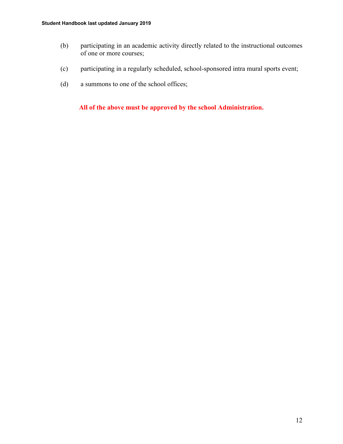- (b) participating in an academic activity directly related to the instructional outcomes of one or more courses;
- (c) participating in a regularly scheduled, school-sponsored intra mural sports event;
- (d) a summons to one of the school offices;

**All of the above must be approved by the school Administration.**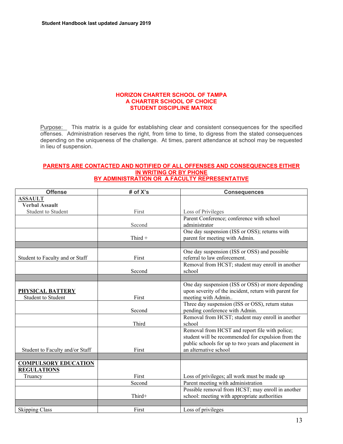#### **HORIZON CHARTER SCHOOL OF TAMPA A CHARTER SCHOOL OF CHOICE STUDENT DISCIPLINE MATRIX**

Purpose: This matrix is a guide for establishing clear and consistent consequences for the specified offenses. Administration reserves the right, from time to time, to digress from the stated consequences depending on the uniqueness of the challenge. At times, parent attendance at school may be requested in lieu of suspension.

#### **PARENTS ARE CONTACTED AND NOTIFIED OF ALL OFFENSES AND CONSEQUENCES EITHER IN WRITING OR BY PHONE BY ADMINISTRATION OR A FACULTY REPRESENTATIVE**

| <b>Offense</b>                  | # of X's | <b>Consequences</b>                                   |
|---------------------------------|----------|-------------------------------------------------------|
| <b>ASSAULT</b>                  |          |                                                       |
| <b>Verbal Assault</b>           |          |                                                       |
| Student to Student              | First    | Loss of Privileges                                    |
|                                 |          | Parent Conference; conference with school             |
|                                 | Second   | administrator                                         |
|                                 |          | One day suspension (ISS or OSS); returns with         |
|                                 | Third +  | parent for meeting with Admin.                        |
|                                 |          |                                                       |
|                                 |          | One day suspension (ISS or OSS) and possible          |
| Student to Faculty and or Staff | First    | referral to law enforcement.                          |
|                                 |          | Removal from HCST; student may enroll in another      |
|                                 | Second   | school                                                |
|                                 |          |                                                       |
|                                 |          | One day suspension (ISS or OSS) or more depending     |
| PHYSICAL BATTERY                |          | upon severity of the incident, return with parent for |
| <b>Student to Student</b>       | First    | meeting with Admin                                    |
|                                 |          | Three day suspension (ISS or OSS), return status      |
|                                 | Second   | pending conference with Admin.                        |
|                                 |          | Removal from HCST; student may enroll in another      |
|                                 | Third    | school                                                |
|                                 |          | Removal from HCST and report file with police;        |
|                                 |          | student will be recommended for expulsion from the    |
|                                 |          | public schools for up to two years and placement in   |
| Student to Faculty and/or Staff | First    | an alternative school                                 |
|                                 |          |                                                       |
| <b>COMPULSORY EDUCATION</b>     |          |                                                       |
| <b>REGULATIONS</b>              |          |                                                       |
| Truancy                         | First    | Loss of privileges; all work must be made up          |
|                                 | Second   | Parent meeting with administration                    |
|                                 |          | Possible removal from HCST; may enroll in another     |
|                                 | Third+   | school: meeting with appropriate authorities          |
|                                 |          |                                                       |
| <b>Skipping Class</b>           | First    | Loss of privileges                                    |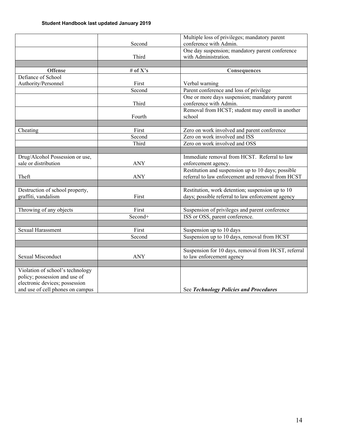|                                                         |            | Multiple loss of privileges; mandatory parent                           |
|---------------------------------------------------------|------------|-------------------------------------------------------------------------|
|                                                         | Second     | conference with Admin.                                                  |
|                                                         | Third      | One day suspension; mandatory parent conference<br>with Administration. |
|                                                         |            |                                                                         |
| <b>Offense</b>                                          | # of $X's$ |                                                                         |
| Defiance of School                                      |            | Consequences                                                            |
| Authority/Personnel                                     | First      | Verbal warning                                                          |
|                                                         | Second     | Parent conference and loss of privilege                                 |
|                                                         |            | One or more days suspension; mandatory parent                           |
|                                                         | Third      | conference with Admin.                                                  |
|                                                         |            | Removal from HCST; student may enroll in another                        |
|                                                         | Fourth     | school                                                                  |
|                                                         |            |                                                                         |
| Cheating                                                | First      | Zero on work involved and parent conference                             |
|                                                         | Second     | Zero on work involved and ISS                                           |
|                                                         | Third      | Zero on work involved and OSS                                           |
|                                                         |            |                                                                         |
|                                                         |            | Immediate removal from HCST. Referral to law                            |
| Drug/Alcohol Possession or use,<br>sale or distribution | <b>ANY</b> | enforcement agency.                                                     |
|                                                         |            | Restitution and suspension up to 10 days; possible                      |
| Theft                                                   | <b>ANY</b> | referral to law enforcement and removal from HCST                       |
|                                                         |            |                                                                         |
| Destruction of school property,                         |            | Restitution, work detention; suspension up to 10                        |
| graffiti, vandalism                                     | First      | days; possible referral to law enforcement agency                       |
|                                                         |            |                                                                         |
| Throwing of any objects                                 | First      | Suspension of privileges and parent conference                          |
|                                                         | Second+    | ISS or OSS, parent conference.                                          |
|                                                         |            |                                                                         |
| Sexual Harassment                                       | First      | Suspension up to 10 days                                                |
|                                                         | Second     | Suspension up to 10 days, removal from HCST                             |
|                                                         |            |                                                                         |
|                                                         |            | Suspension for 10 days, removal from HCST, referral                     |
| Sexual Misconduct                                       | <b>ANY</b> | to law enforcement agency                                               |
|                                                         |            |                                                                         |
| Violation of school's technology                        |            |                                                                         |
| policy; possession and use of                           |            |                                                                         |
| electronic devices; possession                          |            |                                                                         |
| and use of cell phones on campus                        |            | See Technology Policies and Procedures                                  |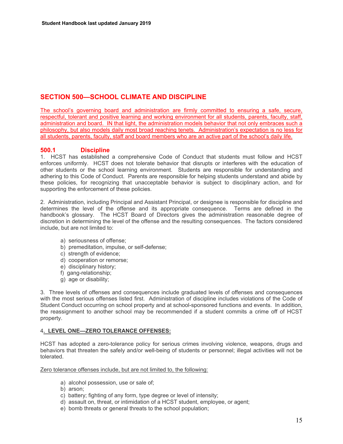## **SECTION 500—SCHOOL CLIMATE AND DISCIPLINE**

The school's governing board and administration are firmly committed to ensuring a safe, secure, respectful, tolerant and positive learning and working environment for all students, parents, faculty, staff, administration and board. IN that light, the administration models behavior that not only embraces such a philosophy, but also models daily most broad reaching tenets. Administration's expectation is no less for all students, parents, faculty, staff and board members who are an active part of the school's daily life.

## **500.1 Discipline**

1. HCST has established a comprehensive Code of Conduct that students must follow and HCST enforces uniformly. HCST does not tolerate behavior that disrupts or interferes with the education of other students or the school learning environment. Students are responsible for understanding and adhering to this Code of Conduct. Parents are responsible for helping students understand and abide by these policies, for recognizing that unacceptable behavior is subject to disciplinary action, and for supporting the enforcement of these policies.

2. Administration, including Principal and Assistant Principal, or designee is responsible for discipline and determines the level of the offense and its appropriate consequence. Terms are defined in the handbook's glossary. The HCST Board of Directors gives the administration reasonable degree of discretion in determining the level of the offense and the resulting consequences. The factors considered include, but are not limited to:

- a) seriousness of offense;
- b) premeditation, impulse, or self-defense;
- c) strength of evidence:
- d) cooperation or remorse;
- e) disciplinary history;
- f) gang-relationship;
- g) age or disability;

3. Three levels of offenses and consequences include graduated levels of offenses and consequences with the most serious offenses listed first. Administration of discipline includes violations of the Code of Student Conduct occurring on school property and at school-sponsored functions and events. In addition, the reassignment to another school may be recommended if a student commits a crime off of HCST property.

## 4**. LEVEL ONE—ZERO TOLERANCE OFFENSES:**

HCST has adopted a zero-tolerance policy for serious crimes involving violence, weapons, drugs and behaviors that threaten the safely and/or well-being of students or personnel; illegal activities will not be tolerated.

Zero tolerance offenses include, but are not limited to, the following:

- a) alcohol possession, use or sale of;
- b) arson;
- c) battery; fighting of any form, type degree or level of intensity;
- d) assault on, threat, or intimidation of a HCST student, employee, or agent;
- e) bomb threats or general threats to the school population;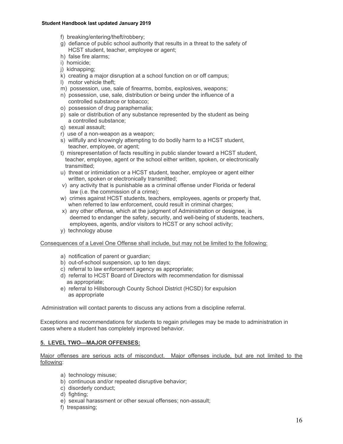- f) breaking/entering/theft/robbery;
- g) defiance of public school authority that results in a threat to the safety of HCST student, teacher, employee or agent;
- h) false fire alarms;
- i) homicide;
- j) kidnapping;
- k) creating a major disruption at a school function on or off campus;
- l) motor vehicle theft;
- m) possession, use, sale of firearms, bombs, explosives, weapons;
- n) possession, use, sale, distribution or being under the influence of a controlled substance or tobacco;
- o) possession of drug paraphernalia;
- p) sale or distribution of any substance represented by the student as being a controlled substance;
- q) sexual assault;
- r) use of a non-weapon as a weapon;
- s) willfully and knowingly attempting to do bodily harm to a HCST student, teacher, employee, or agent;
- t) misrepresentation of facts resulting in public slander toward a HCST student, teacher, employee, agent or the school either written, spoken, or electronically transmitted;
- u) threat or intimidation or a HCST student, teacher, employee or agent either written, spoken or electronically transmitted;
- v) any activity that is punishable as a criminal offense under Florida or federal law (i.e. the commission of a crime);
- w) crimes against HCST students, teachers, employees, agents or property that, when referred to law enforcement, could result in criminal charges;
- x) any other offense, which at the judgment of Administration or designee, is deemed to endanger the safety, security, and well-being of students, teachers, employees, agents, and/or visitors to HCST or any school activity;
- y) technology abuse

Consequences of a Level One Offense shall include, but may not be limited to the following:

- a) notification of parent or guardian;
- b) out-of-school suspension, up to ten days;
- c) referral to law enforcement agency as appropriate;
- d) referral to HCST Board of Directors with recommendation for dismissal as appropriate;
- e) referral to Hillsborough County School District (HCSD) for expulsion as appropriate

Administration will contact parents to discuss any actions from a discipline referral.

Exceptions and recommendations for students to regain privileges may be made to administration in cases where a student has completely improved behavior.

## **5. LEVEL TWO—MAJOR OFFENSES:**

Major offenses are serious acts of misconduct. Major offenses include, but are not limited to the following:

- a) technology misuse;
- b) continuous and/or repeated disruptive behavior;
- c) disorderly conduct;
- d) fighting;
- e) sexual harassment or other sexual offenses; non-assault;
- f) trespassing;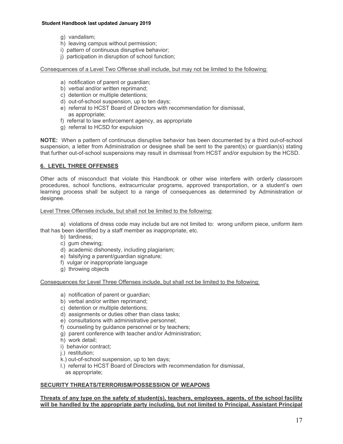- g) vandalism;
- h) leaving campus without permission;
- i) pattern of continuous disruptive behavior;
- j) participation in disruption of school function;

Consequences of a Level Two Offense shall include, but may not be limited to the following:

- a) notification of parent or guardian;
- b) verbal and/or written reprimand;
- c) detention or multiple detentions;
- d) out-of-school suspension, up to ten days;
- e) referral to HCST Board of Directors with recommendation for dismissal, as appropriate;
- f) referral to law enforcement agency, as appropriate
- g) referral to HCSD for expulsion

**NOTE:** When a pattern of continuous disruptive behavior has been documented by a third out-of-school suspension, a letter from Administration or designee shall be sent to the parent(s) or guardian(s) stating that further out-of-school suspensions may result in dismissal from HCST and/or expulsion by the HCSD.

## **6. LEVEL THREE OFFENSES**

Other acts of misconduct that violate this Handbook or other wise interfere with orderly classroom procedures, school functions, extracurricular programs, approved transportation, or a student's own learning process shall be subject to a range of consequences as determined by Administration or designee.

#### Level Three Offenses include, but shall not be limited to the following:

 a) violations of dress code may include but are not limited to: wrong uniform piece, uniform item that has been identified by a staff member as inappropriate, etc.

- b) tardiness;
- c) gum chewing;
- d) academic dishonesty, including plagiarism;
- e) falsifying a parent/guardian signature;
- f) vulgar or inappropriate language
- g) throwing objects

Consequences for Level Three Offenses include, but shall not be limited to the following:

- a) notification of parent or guardian;
- b) verbal and/or written reprimand;
- c) detention or multiple detentions;
- d) assignments or duties other than class tasks;
- e) consultations with administrative personnel;
- f) counseling by guidance personnel or by teachers;
- g) parent conference with teacher and/or Administration;
- h) work detail;
- i) behavior contract;
- j.) restitution;
- k.) out-of-school suspension, up to ten days;
- l.) referral to HCST Board of Directors with recommendation for dismissal,
- as appropriate;

## **SECURITY THREATS/TERRORISM/POSSESSION OF WEAPONS**

#### **Threats of any type on the safety of student(s), teachers, employees, agents, of the school facility will be handled by the appropriate party including, but not limited to Principal, Assistant Principal**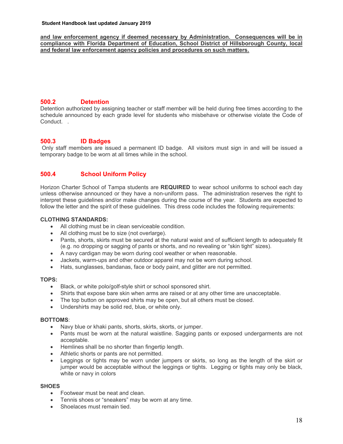**and law enforcement agency if deemed necessary by Administration. Consequences will be in compliance with Florida Department of Education, School District of Hillsborough County, local and federal law enforcement agency policies and procedures on such matters.** 

## **500.2 Detention**

Detention authorized by assigning teacher or staff member will be held during free times according to the schedule announced by each grade level for students who misbehave or otherwise violate the Code of Conduct. .

## **500.3 ID Badges**

 Only staff members are issued a permanent ID badge. All visitors must sign in and will be issued a temporary badge to be worn at all times while in the school.

## **500.4 School Uniform Policy**

Horizon Charter School of Tampa students are **REQUIRED** to wear school uniforms to school each day unless otherwise announced or they have a non-uniform pass. The administration reserves the right to interpret these guidelines and/or make changes during the course of the year. Students are expected to follow the letter and the spirit of these guidelines. This dress code includes the following requirements:

#### **CLOTHING STANDARDS:**

- All clothing must be in clean serviceable condition.
- All clothing must be to size (not overlarge).
- Pants, shorts, skirts must be secured at the natural waist and of sufficient length to adequately fit (e.g. no dropping or sagging of pants or shorts, and no revealing or "skin tight" sizes).
- A navy cardigan may be worn during cool weather or when reasonable.
- Jackets, warm-ups and other outdoor apparel may not be worn during school.
- Hats, sunglasses, bandanas, face or body paint, and glitter are not permitted.

#### **TOPS:**

- Black, or white polo/golf-style shirt or school sponsored shirt.
- Shirts that expose bare skin when arms are raised or at any other time are unacceptable.
- The top button on approved shirts may be open, but all others must be closed.
- Undershirts may be solid red, blue, or white only.

#### **BOTTOMS**:

- Navy blue or khaki pants, shorts, skirts, skorts, or jumper.
- Pants must be worn at the natural waistline. Sagging pants or exposed undergarments are not acceptable.
- Hemlines shall be no shorter than fingertip length.
- Athletic shorts or pants are not permitted.
- Leggings or tights may be worn under jumpers or skirts, so long as the length of the skirt or jumper would be acceptable without the leggings or tights. Legging or tights may only be black, white or navy in colors

#### **SHOES**

- Footwear must be neat and clean.
- Tennis shoes or "sneakers" may be worn at any time.
- Shoelaces must remain tied.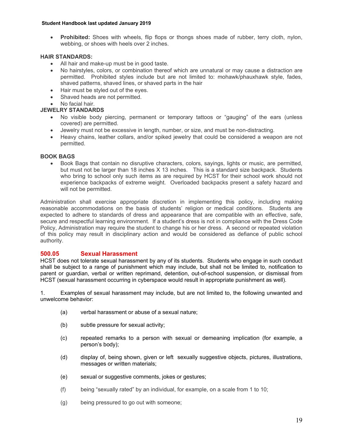**Prohibited:** Shoes with wheels, flip flops or thongs shoes made of rubber, terry cloth, nylon, webbing, or shoes with heels over 2 inches.

#### **HAIR STANDARDS:**

- All hair and make-up must be in good taste.
- No hairstyles, colors, or combination thereof which are unnatural or may cause a distraction are permitted. Prohibited styles include but are not limited to: mohawk/phauxhawk style, fades, shaved patterns, shaved lines, or shaved parts in the hair
- Hair must be styled out of the eyes.
- Shaved heads are not permitted.
- No facial hair.

#### **JEWELRY STANDARDS**

- No visible body piercing, permanent or temporary tattoos or "gauging" of the ears (unless covered) are permitted.
- Jewelry must not be excessive in length, number, or size, and must be non-distracting.
- Heavy chains, leather collars, and/or spiked jewelry that could be considered a weapon are not permitted.

#### **BOOK BAGS**

 Book Bags that contain no disruptive characters, colors, sayings, lights or music, are permitted, but must not be larger than 18 inches X 13 inches. This is a standard size backpack. Students who bring to school only such items as are required by HCST for their school work should not experience backpacks of extreme weight. Overloaded backpacks present a safety hazard and will not be permitted.

Administration shall exercise appropriate discretion in implementing this policy, including making reasonable accommodations on the basis of students' religion or medical conditions. Students are expected to adhere to standards of dress and appearance that are compatible with an effective, safe, secure and respectful learning environment. If a student's dress is not in compliance with the Dress Code Policy, Administration may require the student to change his or her dress. A second or repeated violation of this policy may result in disciplinary action and would be considered as defiance of public school authority.

## **500.05 Sexual Harassment**

HCST does not tolerate sexual harassment by any of its students. Students who engage in such conduct shall be subject to a range of punishment which may include, but shall not be limited to, notification to parent or guardian, verbal or written reprimand, detention, out-of-school suspension, or dismissal from HCST (sexual harassment occurring in cyberspace would result in appropriate punishment as well).

1. Examples of sexual harassment may include, but are not limited to, the following unwanted and unwelcome behavior:

- (a) verbal harassment or abuse of a sexual nature;
- (b) subtle pressure for sexual activity;
- (c) repeated remarks to a person with sexual or demeaning implication (for example, a person's body);
- (d) display of, being shown, given or left sexually suggestive objects, pictures, illustrations, messages or written materials;
- (e) sexual or suggestive comments, jokes or gestures;
- (f) being "sexually rated" by an individual, for example, on a scale from 1 to 10;
- (g) being pressured to go out with someone;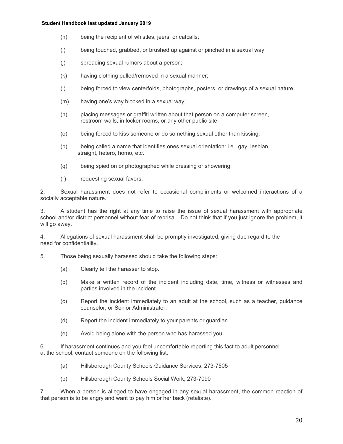- (h) being the recipient of whistles, jeers, or catcalls;
- (i) being touched, grabbed, or brushed up against or pinched in a sexual way;
- (j) spreading sexual rumors about a person;
- (k) having clothing pulled/removed in a sexual manner;
- (l) being forced to view centerfolds, photographs, posters, or drawings of a sexual nature;
- (m) having one's way blocked in a sexual way;
- (n) placing messages or graffiti written about that person on a computer screen, restroom walls, in locker rooms, or any other public site;
- (o) being forced to kiss someone or do something sexual other than kissing;
- (p) being called a name that identifies ones sexual orientation: i.e., gay, lesbian, straight, hetero, homo, etc.
- (q) being spied on or photographed while dressing or showering;
- (r) requesting sexual favors.

2. Sexual harassment does not refer to occasional compliments or welcomed interactions of a socially acceptable nature.

3. A student has the right at any time to raise the issue of sexual harassment with appropriate school and/or district personnel without fear of reprisal. Do not think that if you just ignore the problem, it will go away.

4. Allegations of sexual harassment shall be promptly investigated, giving due regard to the need for confidentiality.

5. Those being sexually harassed should take the following steps:

- (a) Clearly tell the harasser to stop.
- (b) Make a written record of the incident including date, time, witness or witnesses and parties involved in the incident.
- (c) Report the incident immediately to an adult at the school, such as a teacher, guidance counselor, or Senior Administrator.
- (d) Report the incident immediately to your parents or guardian.
- (e) Avoid being alone with the person who has harassed you.

6. If harassment continues and you feel uncomfortable reporting this fact to adult personnel at the school, contact someone on the following list:

- (a) Hillsborough County Schools Guidance Services, 273-7505
- (b) Hillsborough County Schools Social Work, 273-7090

7. When a person is alleged to have engaged in any sexual harassment, the common reaction of that person is to be angry and want to pay him or her back (retaliate).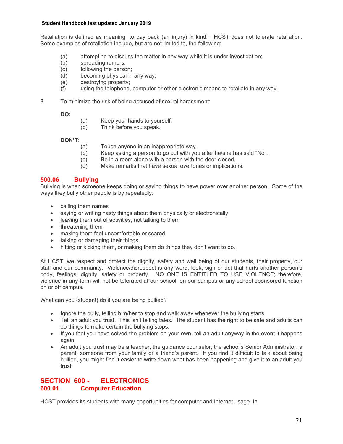Retaliation is defined as meaning "to pay back (an injury) in kind." HCST does not tolerate retaliation. Some examples of retaliation include, but are not limited to, the following:

- (a) attempting to discuss the matter in any way while it is under investigation;
- (b) spreading rumors;
- (c) following the person;
- (d) becoming physical in any way;
- (e) destroying property;
- (f) using the telephone, computer or other electronic means to retaliate in any way.
- 8. To minimize the risk of being accused of sexual harassment:

**DO:** 

- (a) Keep your hands to yourself.
- (b) Think before you speak.

#### **DON'T:**

- (a) Touch anyone in an inappropriate way.
- (b) Keep asking a person to go out with you after he/she has said "No".
- (c) Be in a room alone with a person with the door closed.
- (d) Make remarks that have sexual overtones or implications.

## **500.06 Bullying**

Bullying is when someone keeps doing or saying things to have power over another person. Some of the ways they bully other people is by repeatedly:

- calling them names
- saying or writing nasty things about them physically or electronically
- leaving them out of activities, not talking to them
- threatening them
- making them feel uncomfortable or scared
- talking or damaging their things
- hitting or kicking them, or making them do things they don't want to do.

At HCST, we respect and protect the dignity, safety and well being of our students, their property, our staff and our community. Violence/disrespect is any word, look, sign or act that hurts another person's body, feelings, dignity, safety or property. NO ONE IS ENTITLED TO USE VIOLENCE; therefore, violence in any form will not be tolerated at our school, on our campus or any school-sponsored function on or off campus.

What can you (student) do if you are being bullied?

- Ignore the bully, telling him/her to stop and walk away whenever the bullying starts
- Tell an adult you trust. This isn't telling tales. The student has the right to be safe and adults can do things to make certain the bullying stops.
- If you feel you have solved the problem on your own, tell an adult anyway in the event it happens again.
- An adult you trust may be a teacher, the guidance counselor, the school's Senior Administrator, a parent, someone from your family or a friend's parent. If you find it difficult to talk about being bullied, you might find it easier to write down what has been happening and give it to an adult you trust.

## **SECTION 600 - ELECTRONICS 600.01 Computer Education**

HCST provides its students with many opportunities for computer and Internet usage. In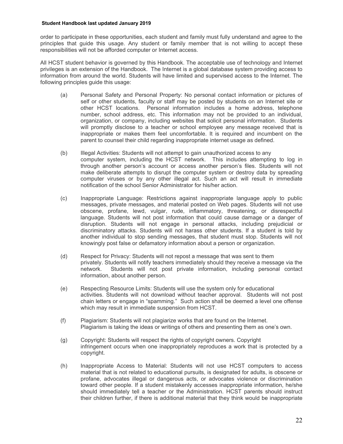order to participate in these opportunities, each student and family must fully understand and agree to the principles that guide this usage. Any student or family member that is not willing to accept these responsibilities will not be afforded computer or Internet access.

All HCST student behavior is governed by this Handbook. The acceptable use of technology and Internet privileges is an extension of the Handbook. The Internet is a global database system providing access to information from around the world. Students will have limited and supervised access to the Internet. The following principles guide this usage:

- (a) Personal Safety and Personal Property: No personal contact information or pictures of self or other students, faculty or staff may be posted by students on an Internet site or other HCST locations. Personal information includes a home address, telephone number, school address, etc. This information may not be provided to an individual, organization, or company, including websites that solicit personal information. Students will promptly disclose to a teacher or school employee any message received that is inappropriate or makes them feel uncomfortable. It is required and incumbent on the parent to counsel their child regarding inappropriate internet usage as defined.
- (b) Illegal Activities: Students will not attempt to gain unauthorized access to any computer system, including the HCST network. This includes attempting to log in through another person's account or access another person's files. Students will not make deliberate attempts to disrupt the computer system or destroy data by spreading computer viruses or by any other illegal act. Such an act will result in immediate notification of the school Senior Administrator for his/her action.
- (c) Inappropriate Language: Restrictions against inappropriate language apply to public messages, private messages, and material posted on Web pages. Students will not use obscene, profane, lewd, vulgar, rude, inflammatory, threatening, or disrespectful language. Students will not post information that could cause damage or a danger of disruption. Students will not engage in personal attacks, including prejudicial or discriminatory attacks. Students will not harass other students. If a student is told by another individual to stop sending messages, that student must stop. Students will not knowingly post false or defamatory information about a person or organization.
- (d) Respect for Privacy: Students will not repost a message that was sent to them privately. Students will notify teachers immediately should they receive a message via the network. Students will not post private information, including personal contact information, about another person.
- (e) Respecting Resource Limits: Students will use the system only for educational activities. Students will not download without teacher approval. Students will not post chain letters or engage in "spamming." Such action shall be deemed a level one offense which may result in immediate suspension from HCST.
- (f) Plagiarism: Students will not plagiarize works that are found on the Internet. Plagiarism is taking the ideas or writings of others and presenting them as one's own.
- (g) Copyright: Students will respect the rights of copyright owners. Copyright infringement occurs when one inappropriately reproduces a work that is protected by a copyright.
- (h) Inappropriate Access to Material: Students will not use HCST computers to access material that is not related to educational pursuits, is designated for adults, is obscene or profane, advocates illegal or dangerous acts, or advocates violence or discrimination toward other people. If a student mistakenly accesses inappropriate information, he/she should immediately tell a teacher or the Administration. HCST parents should instruct their children further, if there is additional material that they think would be inappropriate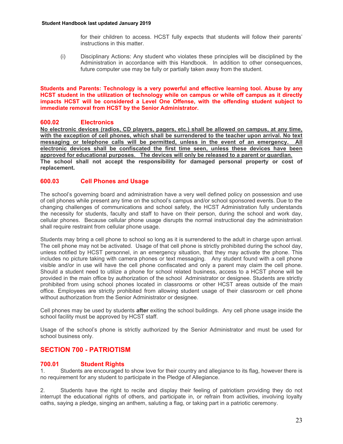for their children to access. HCST fully expects that students will follow their parents' instructions in this matter.

(i) Disciplinary Actions: Any student who violates these principles will be disciplined by the Administration in accordance with this Handbook. In addition to other consequences, future computer use may be fully or partially taken away from the student.

**Students and Parents: Technology is a very powerful and effective learning tool. Abuse by any HCST student in the utilization of technology while on campus or while off campus as it directly impacts HCST will be considered a Level One Offense, with the offending student subject to immediate removal from HCST by the Senior Administrator.** 

## **600.02 Electronics**

**No electronic devices (radios, CD players, pagers, etc.) shall be allowed on campus, at any time,**  with the exception of cell phones, which shall be surrendered to the teacher upon arrival. No text **messaging or telephone calls will be permitted, unless in the event of an emergency. All electronic devices shall be confiscated the first time seen, unless these devices have been approved for educational purposes. The devices will only be released to a parent or guardian. The school shall not accept the responsibility for damaged personal property or cost of replacement.** 

## **600.03 Cell Phones and Usage**

The school's governing board and administration have a very well defined policy on possession and use of cell phones while present any time on the school's campus and/or school sponsored events. Due to the changing challenges of communications and school safety, the HCST Administration fully understands the necessity for students, faculty and staff to have on their person, during the school and work day, cellular phones. Because cellular phone usage disrupts the normal instructional day the administration shall require restraint from cellular phone usage.

Students may bring a cell phone to school so long as it is surrendered to the adult in charge upon arrival. The cell phone may not be activated. Usage of that cell phone is strictly prohibited during the school day, unless notified by HCST personnel, in an emergency situation, that they may activate the phone. This includes no picture taking with camera phones or text messaging. Any student found with a cell phone visible and/or in use will have the cell phone confiscated and only a parent may claim the cell phone. Should a student need to utilize a phone for school related business, access to a HCST phone will be provided in the main office by authorization of the school Administrator or designee. Students are strictly prohibited from using school phones located in classrooms or other HCST areas outside of the main office. Employees are strictly prohibited from allowing student usage of their classroom or cell phone without authorization from the Senior Administrator or designee.

Cell phones may be used by students **after** exiting the school buildings. Any cell phone usage inside the school facility must be approved by HCST staff.

Usage of the school's phone is strictly authorized by the Senior Administrator and must be used for school business only.

## **SECTION 700 - PATRIOTISM**

## **700.01 Student Rights**<br>1 Students are encouraged to

Students are encouraged to show love for their country and allegiance to its flag, however there is no requirement for any student to participate in the Pledge of Allegiance.

2. Students have the right to recite and display their feeling of patriotism providing they do not interrupt the educational rights of others, and participate in, or refrain from activities, involving loyalty oaths, saying a pledge, singing an anthem, saluting a flag, or taking part in a patriotic ceremony.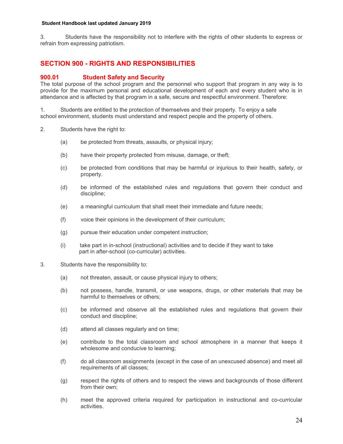3. Students have the responsibility not to interfere with the rights of other students to express or refrain from expressing patriotism.

## **SECTION 900 - RIGHTS AND RESPONSIBILITIES**

## **900.01 Student Safety and Security**

The total purpose of the school program and the personnel who support that program in any way is to provide for the maximum personal and educational development of each and every student who is in attendance and is affected by that program in a safe, secure and respectful environment. Therefore:

1. Students are entitled to the protection of themselves and their property. To enjoy a safe school environment, students must understand and respect people and the property of others.

- 2. Students have the right to:
	- (a) be protected from threats, assaults, or physical injury;
	- (b) have their property protected from misuse, damage, or theft;
	- (c) be protected from conditions that may be harmful or injurious to their health, safety, or property.
	- (d) be informed of the established rules and regulations that govern their conduct and discipline;
	- (e) a meaningful curriculum that shall meet their immediate and future needs;
	- (f) voice their opinions in the development of their curriculum;
	- (g) pursue their education under competent instruction;
	- (i) take part in in-school (instructional) activities and to decide if they want to take part in after-school (co-curricular) activities.
- 3. Students have the responsibility to:
	- (a) not threaten, assault, or cause physical injury to others;
	- (b) not possess, handle, transmit, or use weapons, drugs, or other materials that may be harmful to themselves or others;
	- (c) be informed and observe all the established rules and regulations that govern their conduct and discipline;
	- (d) attend all classes regularly and on time;
	- (e) contribute to the total classroom and school atmosphere in a manner that keeps it wholesome and conducive to learning;
	- (f) do all classroom assignments (except in the case of an unexcused absence) and meet all requirements of all classes;
	- (g) respect the rights of others and to respect the views and backgrounds of those different from their own;
	- (h) meet the approved criteria required for participation in instructional and co-curricular activities.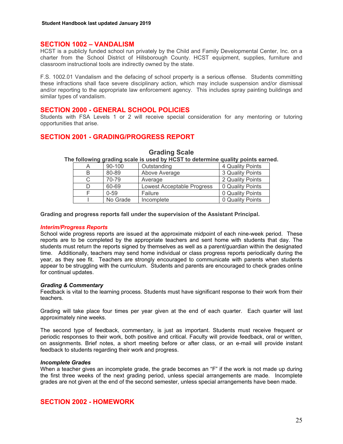#### **SECTION 1002 – VANDALISM**

HCST is a publicly funded school run privately by the Child and Family Developmental Center, Inc. on a charter from the School District of Hillsborough County. HCST equipment, supplies, furniture and classroom instructional tools are indirectly owned by the state.

F.S. 1002.01 Vandalism and the defacing of school property is a serious offense. Students committing these infractions shall face severe disciplinary action, which may include suspension and/or dismissal and/or reporting to the appropriate law enforcement agency. This includes spray painting buildings and similar types of vandalism.

#### **SECTION 2000 - GENERAL SCHOOL POLICIES**

Students with FSA Levels 1 or 2 will receive special consideration for any mentoring or tutoring opportunities that arise.

## **SECTION 2001 - GRADING/PROGRESS REPORT**

|   | 90-100   | Outstanding                | 4 Quality Points |
|---|----------|----------------------------|------------------|
| В | 80-89    | Above Average              | 3 Quality Points |
|   | 70-79    | Average                    | 2 Quality Points |
|   | 60-69    | Lowest Acceptable Progress | 0 Quality Points |
|   | $0 - 59$ | Failure                    | 0 Quality Points |
|   | No Grade | Incomplete                 | 0 Quality Points |

#### **Grading Scale**

**The following grading scale is used by HCST to determine quality points earned.** 

**Grading and progress reports fall under the supervision of the Assistant Principal.** 

#### *Interim/Progress Reports*

School wide progress reports are issued at the approximate midpoint of each nine-week period. These reports are to be completed by the appropriate teachers and sent home with students that day. The students must return the reports signed by themselves as well as a parent/guardian within the designated time. Additionally, teachers may send home individual or class progress reports periodically during the year, as they see fit. Teachers are strongly encouraged to communicate with parents when students appear to be struggling with the curriculum. Students and parents are encouraged to check grades online for continual updates.

#### *Grading & Commentary*

Feedback is vital to the learning process. Students must have significant response to their work from their teachers.

Grading will take place four times per year given at the end of each quarter. Each quarter will last approximately nine weeks.

The second type of feedback, commentary, is just as important. Students must receive frequent or periodic responses to their work, both positive and critical. Faculty will provide feedback, oral or written, on assignments. Brief notes, a short meeting before or after class, or an e-mail will provide instant feedback to students regarding their work and progress.

#### *Incomplete Grades*

When a teacher gives an incomplete grade, the grade becomes an "F" if the work is not made up during the first three weeks of the next grading period, unless special arrangements are made. Incomplete grades are not given at the end of the second semester, unless special arrangements have been made.

## **SECTION 2002 - HOMEWORK**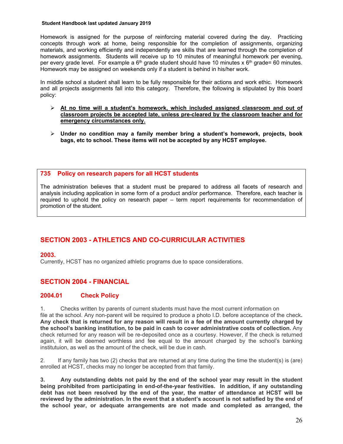Homework is assigned for the purpose of reinforcing material covered during the day. Practicing concepts through work at home, being responsible for the completion of assignments, organizing materials, and working efficiently and independently are skills that are learned through the completion of homework assignments. Students will receive up to 10 minutes of meaningful homework per evening, per every grade level. For example a  $6<sup>th</sup>$  grade student should have 10 minutes x  $6<sup>th</sup>$  grade= 60 minutes. Homework may be assigned on weekends only if a student is behind in his/her work.

In middle school a student shall learn to be fully responsible for their actions and work ethic. Homework and all projects assignments fall into this category. Therefore, the following is stipulated by this board policy:

- **At no time will a student's homework, which included assigned classroom and out of classroom projects be accepted late, unless pre-cleared by the classroom teacher and for emergency circumstances only.**
- **Under no condition may a family member bring a student's homework, projects, book bags, etc to school. These items will not be accepted by any HCST employee.**

#### **735 Policy on research papers for all HCST students**

The administration believes that a student must be prepared to address all facets of research and analysis including application in some form of a product and/or performance. Therefore, each teacher is required to uphold the policy on research paper – term report requirements for recommendation of promotion of the student.

## **SECTION 2003 - ATHLETICS AND CO-CURRICULAR ACTIVITIES**

#### **2003.**

Currently, HCST has no organized athletic programs due to space considerations.

institutuion, as well as the amount of the check, will be due in cash.

## **SECTION 2004 - FINANCIAL**

## **2004.01 Check Policy**

1. Checks written by parents of current students must have the most current information on file at the school. Any non-parent will be required to produce a photo I.D. before acceptance of the check**. Any check that is returned for any reason will result in a fee of the amount currently charged by the school's banking institution, to be paid in cash to cover administrative costs of collection.** Any check returned for any reason will be re-deposited once as a courtesy. However, if the check is returned

2. If any family has two (2) checks that are returned at any time during the time the student(s) is (are) enrolled at HCST, checks may no longer be accepted from that family.

again, it will be deemed worthless and fee equal to the amount charged by the school's banking

**3. Any outstanding debts not paid by the end of the school year may result in the student being prohibited from participating in end-of-the-year festivities. In addition, if any outstanding debt has not been resolved by the end of the year, the matter of attendance at HCST will be reviewed by the administration. In the event that a student's account is not satisfied by the end of the school year, or adequate arrangements are not made and completed as arranged, the**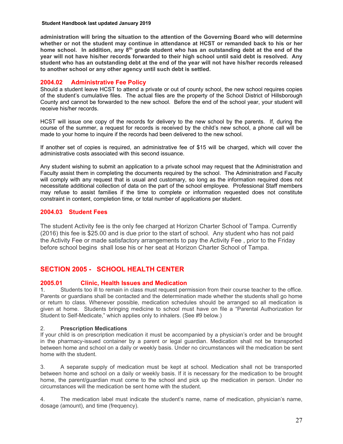**administration will bring the situation to the attention of the Governing Board who will determine whether or not the student may continue in attendance at HCST or remanded back to his or her**  home school. In addition, any 8<sup>th</sup> grade student who has an outstanding debt at the end of the **year will not have his/her records forwarded to their high school until said debt is resolved. Any student who has an outstanding debt at the end of the year will not have his/her records released to another school or any other agency until such debt is settled.** 

## **2004.02 Administrative Fee Policy**

Should a student leave HCST to attend a private or out of county school, the new school requires copies of the student's cumulative files. The actual files are the property of the School District of Hillsborough County and cannot be forwarded to the new school. Before the end of the school year, your student will receive his/her records.

HCST will issue one copy of the records for delivery to the new school by the parents. If, during the course of the summer, a request for records is received by the child's new school, a phone call will be made to your home to inquire if the records had been delivered to the new school.

If another set of copies is required, an administrative fee of \$15 will be charged, which will cover the administrative costs associated with this second issuance.

Any student wishing to submit an application to a private school may request that the Administration and Faculty assist them in completing the documents required by the school. The Administration and Faculty will comply with any request that is usual and customary, so long as the information required does not necessitate additional collection of data on the part of the school employee. Professional Staff members may refuse to assist families if the time to complete or information requested does not constitute constraint in content, completion time, or total number of applications per student.

## **2004.03 Student Fees**

The student Activity fee is the only fee charged at Horizon Charter School of Tampa. Currently (2016) this fee is \$25.00 and is due prior to the start of school. Any student who has not paid the Activity Fee or made satisfactory arrangements to pay the Activity Fee , prior to the Friday before school begins shall lose his or her seat at Horizon Charter School of Tampa.

## **SECTION 2005 - SCHOOL HEALTH CENTER**

## **2005.01 Clinic, Health Issues and Medication**

1. Students too ill to remain in class must request permission from their course teacher to the office. Parents or guardians shall be contacted and the determination made whether the students shall go home or return to class. Whenever possible, medication schedules should be arranged so all medication is given at home. Students bringing medicine to school must have on file a "Parental Authorization for Student to Self-Medicate," which applies only to inhalers. (See #9 below.)

## 2. **Prescription Medications**

If your child is on prescription medication it must be accompanied by a physician's order and be brought in the pharmacy-issued container by a parent or legal guardian. Medication shall not be transported between home and school on a daily or weekly basis. Under no circumstances will the medication be sent home with the student.

3. A separate supply of medication must be kept at school. Medication shall not be transported between home and school on a daily or weekly basis. If it is necessary for the medication to be brought home, the parent/guardian must come to the school and pick up the medication in person. Under no circumstances will the medication be sent home with the student.

4. The medication label must indicate the student's name, name of medication, physician's name, dosage (amount), and time (frequency).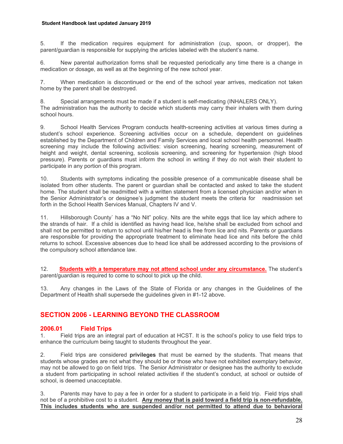5. If the medication requires equipment for administration (cup, spoon, or dropper), the parent/guardian is responsible for supplying the articles labeled with the student's name.

6. New parental authorization forms shall be requested periodically any time there is a change in medication or dosage, as well as at the beginning of the new school year.

7. When medication is discontinued or the end of the school year arrives, medication not taken home by the parent shall be destroyed.

8. Special arrangements must be made if a student is self-medicating (INHALERS ONLY). The administration has the authority to decide which students may carry their inhalers with them during school hours.

9. School Health Services Program conducts health-screening activities at various times during a student's school experience. Screening activities occur on a schedule, dependent on guidelines established by the Department of Children and Family Services and local school health personnel. Health screening may include the following activities: vision screening, hearing screening, measurement of height and weight, dental screening, scoliosis screening, and screening for hypertension (high blood pressure). Parents or guardians must inform the school in writing if they do not wish their student to participate in any portion of this program.

10. Students with symptoms indicating the possible presence of a communicable disease shall be isolated from other students. The parent or guardian shall be contacted and asked to take the student home. The student shall be readmitted with a written statement from a licensed physician and/or when in the Senior Administrator's or designee's judgment the student meets the criteria for readmission set forth in the School Health Services Manual, Chapters IV and V.

11. Hillsborough County` has a "No Nit" policy. Nits are the white eggs that lice lay which adhere to the strands of hair. If a child is identified as having head lice, he/she shall be excluded from school and shall not be permitted to return to school until his/her head is free from lice and nits. Parents or guardians are responsible for providing the appropriate treatment to eliminate head lice and nits before the child returns to school. Excessive absences due to head lice shall be addressed according to the provisions of the compulsory school attendance law.

12. **Students with a temperature may not attend school under any circumstance.** The student's parent/guardian is required to come to school to pick up the child.

13. Any changes in the Laws of the State of Florida or any changes in the Guidelines of the Department of Health shall supersede the guidelines given in #1-12 above.

## **SECTION 2006 - LEARNING BEYOND THE CLASSROOM**

## **2006.01 Field Trips**

1. Field trips are an integral part of education at HCST. It is the school's policy to use field trips to enhance the curriculum being taught to students throughout the year.

2. Field trips are considered **privileges** that must be earned by the students. That means that students whose grades are not what they should be or those who have not exhibited exemplary behavior, may not be allowed to go on field trips. The Senior Administrator or designee has the authority to exclude a student from participating in school related activities if the student's conduct, at school or outside of school, is deemed unacceptable.

3. Parents may have to pay a fee in order for a student to participate in a field trip. Field trips shall not be of a prohibitive cost to a student. **Any money that is paid toward a field trip is non-refundable. This includes students who are suspended and/or not permitted to attend due to behavioral**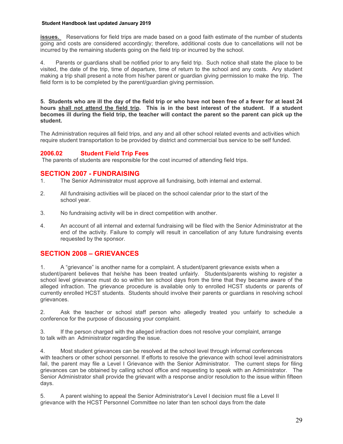**issues.** Reservations for field trips are made based on a good faith estimate of the number of students going and costs are considered accordingly; therefore, additional costs due to cancellations will not be incurred by the remaining students going on the field trip or incurred by the school.

4. Parents or guardians shall be notified prior to any field trip. Such notice shall state the place to be visited, the date of the trip, time of departure, time of return to the school and any costs. Any student making a trip shall present a note from his/her parent or guardian giving permission to make the trip. The field form is to be completed by the parent/guardian giving permission.

**5. Students who are ill the day of the field trip or who have not been free of a fever for at least 24 hours shall not attend the field trip. This is in the best interest of the student. If a student becomes ill during the field trip, the teacher will contact the parent so the parent can pick up the student.** 

The Administration requires all field trips, and any and all other school related events and activities which require student transportation to be provided by district and commercial bus service to be self funded.

## **2006.02 Student Field Trip Fees**

The parents of students are responsible for the cost incurred of attending field trips.

## **SECTION 2007 - FUNDRAISING**

- 1. The Senior Administrator must approve all fundraising, both internal and external.
- 2. All fundraising activities will be placed on the school calendar prior to the start of the school year.
- 3. No fundraising activity will be in direct competition with another.
- 4. An account of all internal and external fundraising will be filed with the Senior Administrator at the end of the activity. Failure to comply will result in cancellation of any future fundraising events requested by the sponsor.

## **SECTION 2008 – GRIEVANCES**

1. A "grievance" is another name for a complaint. A student/parent grievance exists when a student/parent believes that he/she has been treated unfairly. Students/parents wishing to register a school level grievance must do so within ten school days from the time that they became aware of the alleged infraction. The grievance procedure is available only to enrolled HCST students or parents of currently enrolled HCST students. Students should involve their parents or guardians in resolving school grievances.

2. Ask the teacher or school staff person who allegedly treated you unfairly to schedule a conference for the purpose of discussing your complaint.

3. If the person charged with the alleged infraction does not resolve your complaint, arrange to talk with an Administrator regarding the issue.

4. Most student grievances can be resolved at the school level through informal conferences with teachers or other school personnel. If efforts to resolve the grievance with school level administrators fail, the parent may file a Level I Grievance with the Senior Administrator. The current steps for filing grievances can be obtained by calling school office and requesting to speak with an Administrator. The Senior Administrator shall provide the grievant with a response and/or resolution to the issue within fifteen days.

5. A parent wishing to appeal the Senior Administrator's Level I decision must file a Level II grievance with the HCST Personnel Committee no later than ten school days from the date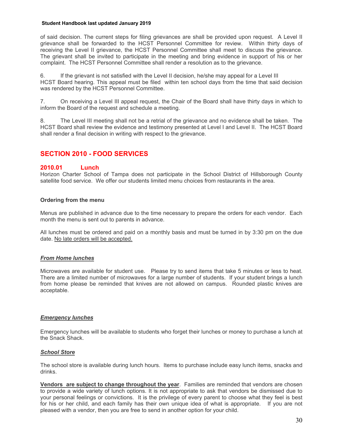of said decision. The current steps for filing grievances are shall be provided upon request. A Level II grievance shall be forwarded to the HCST Personnel Committee for review. Within thirty days of receiving the Level II grievance, the HCST Personnel Committee shall meet to discuss the grievance. The grievant shall be invited to participate in the meeting and bring evidence in support of his or her complaint. The HCST Personnel Committee shall render a resolution as to the grievance.

6. If the grievant is not satisfied with the Level II decision, he/she may appeal for a Level III HCST Board hearing. This appeal must be filed within ten school days from the time that said decision was rendered by the HCST Personnel Committee.

7. On receiving a Level III appeal request, the Chair of the Board shall have thirty days in which to inform the Board of the request and schedule a meeting.

8. The Level III meeting shall not be a retrial of the grievance and no evidence shall be taken. The HCST Board shall review the evidence and testimony presented at Level I and Level II. The HCST Board shall render a final decision in writing with respect to the grievance.

## **SECTION 2010 - FOOD SERVICES**

## **2010.01 Lunch**

Horizon Charter School of Tampa does not participate in the School District of Hillsborough County satellite food service. We offer our students limited menu choices from restaurants in the area.

#### **Ordering from the menu**

Menus are published in advance due to the time necessary to prepare the orders for each vendor. Each month the menu is sent out to parents in advance.

All lunches must be ordered and paid on a monthly basis and must be turned in by 3:30 pm on the due date. No late orders will be accepted.

#### *From Home lunches*

Microwaves are available for student use. Please try to send items that take 5 minutes or less to heat. There are a limited number of microwaves for a large number of students. If your student brings a lunch from home please be reminded that knives are not allowed on campus. Rounded plastic knives are acceptable.

#### *Emergency lunches*

Emergency lunches will be available to students who forget their lunches or money to purchase a lunch at the Snack Shack.

#### *School Store*

The school store is available during lunch hours. Items to purchase include easy lunch items, snacks and drinks.

**Vendors are subject to change throughout the year**. Families are reminded that vendors are chosen to provide a wide variety of lunch options. It is not appropriate to ask that vendors be dismissed due to your personal feelings or convictions. It is the privilege of every parent to choose what they feel is best for his or her child, and each family has their own unique idea of what is appropriate. If you are not pleased with a vendor, then you are free to send in another option for your child.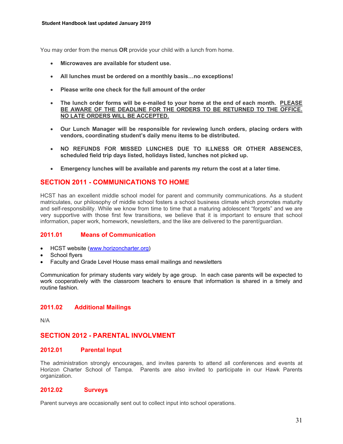You may order from the menus **OR** provide your child with a lunch from home.

- **Microwaves are available for student use.**
- **All lunches must be ordered on a monthly basis…no exceptions!**
- **Please write one check for the full amount of the order**
- **The lunch order forms will be e-mailed to your home at the end of each month. PLEASE BE AWARE OF THE DEADLINE FOR THE ORDERS TO BE RETURNED TO THE OFFICE. NO LATE ORDERS WILL BE ACCEPTED.**
- **Our Lunch Manager will be responsible for reviewing lunch orders, placing orders with vendors, coordinating student's daily menu items to be distributed.**
- **NO REFUNDS FOR MISSED LUNCHES DUE TO ILLNESS OR OTHER ABSENCES, scheduled field trip days listed, holidays listed, lunches not picked up.**
- **Emergency lunches will be available and parents my return the cost at a later time.**

## **SECTION 2011 - COMMUNICATIONS TO HOME**

HCST has an excellent middle school model for parent and community communications. As a student matriculates, our philosophy of middle school fosters a school business climate which promotes maturity and self-responsibility. While we know from time to time that a maturing adolescent "forgets" and we are very supportive with those first few transitions, we believe that it is important to ensure that school information, paper work, homework, newsletters, and the like are delivered to the parent/guardian.

## **2011.01 Means of Communication**

- HCST website (www.horizoncharter.org)
- School flyers
- Faculty and Grade Level House mass email mailings and newsletters

Communication for primary students vary widely by age group. In each case parents will be expected to work cooperatively with the classroom teachers to ensure that information is shared in a timely and routine fashion.

## **2011.02 Additional Mailings**

N/A

## **SECTION 2012 - PARENTAL INVOLVMENT**

## **2012.01 Parental Input**

The administration strongly encourages, and invites parents to attend all conferences and events at Horizon Charter School of Tampa. Parents are also invited to participate in our Hawk Parents organization.

## **2012.02 Surveys**

Parent surveys are occasionally sent out to collect input into school operations.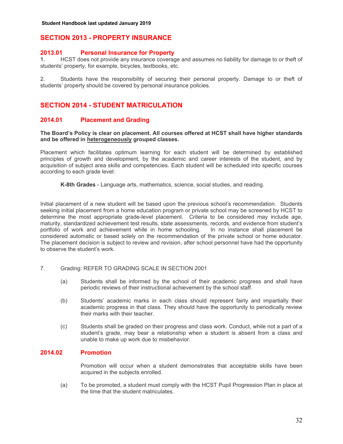## **SECTION 2013 - PROPERTY INSURANCE**

## **2013.01 Personal Insurance for Property**

1. HCST does not provide any insurance coverage and assumes no liability for damage to or theft of students' property, for example, bicycles, textbooks, etc.

2. Students have the responsibility of securing their personal property. Damage to or theft of students' property should be covered by personal insurance policies.

## **SECTION 2014 - STUDENT MATRICULATION**

## **2014.01 Placement and Grading**

**The Board's Policy is clear on placement. All courses offered at HCST shall have higher standards and be offered in heterogeneously grouped classes.** 

Placement which facilitates optimum learning for each student will be determined by established principles of growth and development, by the academic and career interests of the student, and by acquisition of subject area skills and competencies. Each student will be scheduled into specific courses according to each grade level:

**K-8th Grades** - Language arts, mathematics, science, social studies, and reading.

Initial placement of a new student will be based upon the previous school's recommendation. Students seeking initial placement from a home education program or private school may be screened by HCST to determine the most appropriate grade-level placement. Criteria to be considered may include age, maturity, standardized achievement test results, state assessments, records, and evidence from student's portfolio of work and achievement while in home schooling. In no instance shall placement be considered automatic or based solely on the recommendation of the private school or home educator. The placement decision is subject to review and revision, after school personnel have had the opportunity to observe the student's work.

- 7. Grading: REFER TO GRADING SCALE IN SECTION 2001
	- (a) Students shall be informed by the school of their academic progress and shall have periodic reviews of their instructional achievement by the school staff.
	- (b) Students' academic marks in each class should represent fairly and impartially their academic progress in that class. They should have the opportunity to periodically review their marks with their teacher.
	- (c) Students shall be graded on their progress and class work. Conduct, while not a part of a student's grade, may bear a relationship when a student is absent from a class and unable to make up work due to misbehavior.

## **2014.02 Promotion**

Promotion will occur when a student demonstrates that acceptable skills have been acquired in the subjects enrolled.

(a) To be promoted, a student must comply with the HCST Pupil Progression Plan in place at the time that the student matriculates.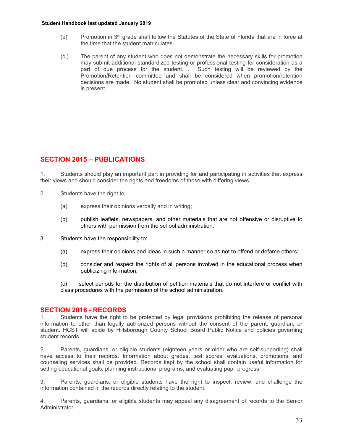- (b) Promotion in  $3<sup>rd</sup>$  grade shall follow the Statutes of the State of Florida that are in force at the time that the student matriculates.
- (c ) The parent of any student who does not demonstrate the necessary skills for promotion may submit additional standardized testing or professional testing for consideration as a part of due process for the student. . Such testing will be reviewed by the Promotion/Retention committee and shall be considered when promotion/retention decisions are made. No student shall be promoted unless clear and convincing evidence is present.

## **SECTION 2015 – PUBLICATIONS**

1. Students should play an important part in providing for and participating in activities that express their views and should consider the rights and freedoms of those with differing views.

- 2. Students have the right to:
	- (a) express their opinions verbally and in writing;
	- (b) publish leaflets, newspapers, and other materials that are not offensive or disruptive to others with permission from the school administration.
- 3. Students have the responsibility to:
	- (a) express their opinions and ideas in such a manner so as not to offend or defame others;
	- (b) consider and respect the rights of all persons involved in the educational process when publicizing information;

(c) select periods for the distribution of petition materials that do not interfere or conflict with class procedures with the permission of the school administration.

## **SECTION 2016 - RECORDS**

1. Students have the right to be protected by legal provisions prohibiting the release of personal information to other than legally authorized persons without the consent of the parent, guardian, or student. HCST will abide by Hillsborough County School Board Public Notice and policies governing student records.

2. Parents, guardians, or eligible students (eighteen years or older who are self-supporting) shall have access to their records. Information about grades, test scores, evaluations, promotions, and counseling services shall be provided. Records kept by the school shall contain useful information for setting educational goals, planning instructional programs, and evaluating pupil progress.

3. Parents, guardians, or eligible students have the right to inspect, review, and challenge the information contained in the records directly relating to the student.

4. Parents, guardians, or eligible students may appeal any disagreement of records to the Senior Administrator.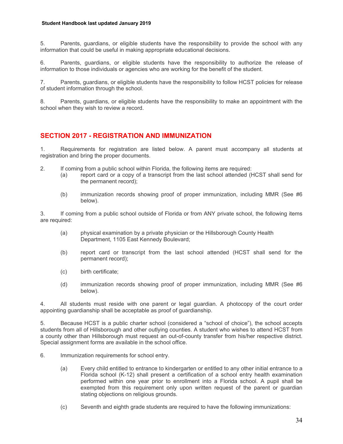5. Parents, guardians, or eligible students have the responsibility to provide the school with any information that could be useful in making appropriate educational decisions.

6. Parents, guardians, or eligible students have the responsibility to authorize the release of information to those individuals or agencies who are working for the benefit of the student.

7. Parents, guardians, or eligible students have the responsibility to follow HCST policies for release of student information through the school.

8. Parents, guardians, or eligible students have the responsibility to make an appointment with the school when they wish to review a record.

## **SECTION 2017 - REGISTRATION AND IMMUNIZATION**

1. Requirements for registration are listed below. A parent must accompany all students at registration and bring the proper documents.

- 2. If coming from a public school within Florida, the following items are required:
	- (a) report card or a copy of a transcript from the last school attended (HCST shall send for the permanent record);
	- (b) immunization records showing proof of proper immunization, including MMR (See #6 below).

3. If coming from a public school outside of Florida or from ANY private school, the following items are required:

- (a) physical examination by a private physician or the Hillsborough County Health Department, 1105 East Kennedy Boulevard;
- (b) report card or transcript from the last school attended (HCST shall send for the permanent record);
- (c) birth certificate;
- (d) immunization records showing proof of proper immunization, including MMR (See #6 below).

4. All students must reside with one parent or legal guardian. A photocopy of the court order appointing guardianship shall be acceptable as proof of guardianship.

5. Because HCST is a public charter school (considered a "school of choice"), the school accepts students from all of Hillsborough and other outlying counties. A student who wishes to attend HCST from a county other than Hillsborough must request an out-of-county transfer from his/her respective district. Special assignment forms are available in the school office.

- 6. Immunization requirements for school entry.
	- (a) Every child entitled to entrance to kindergarten or entitled to any other initial entrance to a Florida school (K-12) shall present a certification of a school entry health examination performed within one year prior to enrollment into a Florida school. A pupil shall be exempted from this requirement only upon written request of the parent or guardian stating objections on religious grounds.
	- (c) Seventh and eighth grade students are required to have the following immunizations: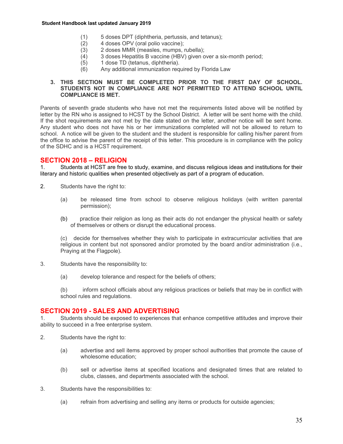- (1) 5 doses DPT (diphtheria, pertussis, and tetanus);
- (2) 4 doses OPV (oral polio vaccine);<br>(3) 2 doses MMR (measles, mumps, i
	- 2 doses MMR (measles, mumps, rubella);
- (4) 3 doses Hepatitis B vaccine (HBV) given over a six-month period;
- (5) 1 dose TD (tetanus, diphtheria).
- (6) Any additional immunization required by Florida Law

#### **3. THIS SECTION MUST BE COMPLETED PRIOR TO THE FIRST DAY OF SCHOOL. STUDENTS NOT IN COMPLIANCE ARE NOT PERMITTED TO ATTEND SCHOOL UNTIL COMPLIANCE IS MET.**

Parents of seventh grade students who have not met the requirements listed above will be notified by letter by the RN who is assigned to HCST by the School District. A letter will be sent home with the child. If the shot requirements are not met by the date stated on the letter, another notice will be sent home. Any student who does not have his or her immunizations completed will not be allowed to return to school. A notice will be given to the student and the student is responsible for calling his/her parent from the office to advise the parent of the receipt of this letter. This procedure is in compliance with the policy of the SDHC and is a HCST requirement.

## **SECTION 2018 – RELIGION**

1. Students at HCST are free to study, examine, and discuss religious ideas and institutions for their literary and historic qualities when presented objectively as part of a program of education.

- 2. Students have the right to:
	- (a) be released time from school to observe religious holidays (with written parental permission);
	- (b) practice their religion as long as their acts do not endanger the physical health or safety of themselves or others or disrupt the educational process.

(c) decide for themselves whether they wish to participate in extracurricular activities that are religious in content but not sponsored and/or promoted by the board and/or administration (i.e., Praying at the Flagpole).

- 3. Students have the responsibility to:
	- (a) develop tolerance and respect for the beliefs of others;

(b) inform school officials about any religious practices or beliefs that may be in conflict with school rules and regulations.

## **SECTION 2019 - SALES AND ADVERTISING**

1. Students should be exposed to experiences that enhance competitive attitudes and improve their ability to succeed in a free enterprise system.

- 2. Students have the right to:
	- (a) advertise and sell items approved by proper school authorities that promote the cause of wholesome education;
	- (b) sell or advertise items at specified locations and designated times that are related to clubs, classes, and departments associated with the school.
- 3. Students have the responsibilities to:
	- (a) refrain from advertising and selling any items or products for outside agencies;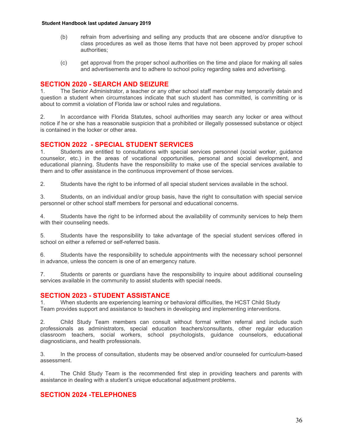- (b) refrain from advertising and selling any products that are obscene and/or disruptive to class procedures as well as those items that have not been approved by proper school authorities;
- (c) get approval from the proper school authorities on the time and place for making all sales and advertisements and to adhere to school policy regarding sales and advertising.

## **SECTION 2020 - SEARCH AND SEIZURE**

1. The Senior Administrator, a teacher or any other school staff member may temporarily detain and question a student when circumstances indicate that such student has committed, is committing or is about to commit a violation of Florida law or school rules and regulations.

2. In accordance with Florida Statutes, school authorities may search any locker or area without notice if he or she has a reasonable suspicion that a prohibited or illegally possessed substance or object is contained in the locker or other area.

## **SECTION 2022 - SPECIAL STUDENT SERVICES**

1. Students are entitled to consultations with special services personnel (social worker, guidance counselor, etc.) in the areas of vocational opportunities, personal and social development, and educational planning. Students have the responsibility to make use of the special services available to them and to offer assistance in the continuous improvement of those services.

2. Students have the right to be informed of all special student services available in the school.

3. Students, on an individual and/or group basis, have the right to consultation with special service personnel or other school staff members for personal and educational concerns.

4. Students have the right to be informed about the availability of community services to help them with their counseling needs.

5. Students have the responsibility to take advantage of the special student services offered in school on either a referred or self-referred basis.

6. Students have the responsibility to schedule appointments with the necessary school personnel in advance, unless the concern is one of an emergency nature.

7. Students or parents or guardians have the responsibility to inquire about additional counseling services available in the community to assist students with special needs.

#### **SECTION 2023 - STUDENT ASSISTANCE**

1. When students are experiencing learning or behavioral difficulties, the HCST Child Study Team provides support and assistance to teachers in developing and implementing interventions.

2. Child Study Team members can consult without formal written referral and include such professionals as administrators, special education teachers/consultants, other regular education classroom teachers, social workers, school psychologists, guidance counselors, educational diagnosticians, and health professionals.

3. In the process of consultation, students may be observed and/or counseled for curriculum-based assessment.

4. The Child Study Team is the recommended first step in providing teachers and parents with assistance in dealing with a student's unique educational adjustment problems.

## **SECTION 2024 -TELEPHONES**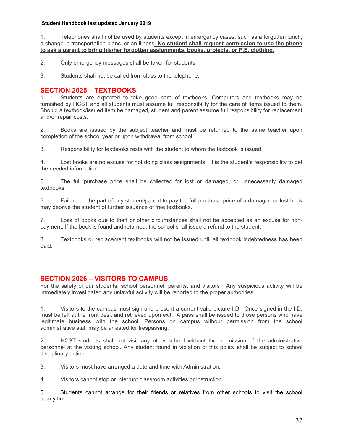1. Telephones shall not be used by students except in emergency cases, such as a forgotten lunch, a change in transportation plans, or an illness. **No student shall request permission to use the phone to ask a parent to bring his/her forgotten assignments, books, projects, or P.E. clothing**.

2. Only emergency messages shall be taken for students.

3. Students shall not be called from class to the telephone.

## **SECTION 2025 – TEXTBOOKS**

1. Students are expected to take good care of textbooks. Computers and textbooks may be furnished by HCST and all students must assume full responsibility for the care of items issued to them. Should a textbook/issued item be damaged, student and parent assume full responsibility for replacement and/or repair costs.

2. Books are issued by the subject teacher and must be returned to the same teacher upon completion of the school year or upon withdrawal from school.

3. Responsibility for textbooks rests with the student to whom the textbook is issued.

4. Lost books are no excuse for not doing class assignments. It is the student's responsibility to get the needed information.

5. The full purchase price shall be collected for lost or damaged, or unnecessarily damaged textbooks.

6. Failure on the part of any student/parent to pay the full purchase price of a damaged or lost book may deprive the student of further issuance of free textbooks.

7. Loss of books due to theft or other circumstances shall not be accepted as an excuse for nonpayment. If the book is found and returned, the school shall issue a refund to the student.

8. Textbooks or replacement textbooks will not be issued until all textbook indebtedness has been paid.

## **SECTION 2026 – VISITORS TO CAMPUS**

For the safety of our students, school personnel, parents, and visitors . Any suspicious activity will be immediately investigated any unlawful activity will be reported to the proper authorities.

1. Visitors to the campus must sign and present a current valid picture I.D. Once signed in the I.D. must be left at the front desk and retrieved upon exit. A pass shall be issued to those persons who have legitimate business with the school. Persons on campus without permission from the school administrative staff may be arrested for trespassing.

2. HCST students shall not visit any other school without the permission of the administrative personnel at the visiting school. Any student found in violation of this policy shall be subject to school disciplinary action.

3. Visitors must have arranged a date and time with Administration.

4. Visitors cannot stop or interrupt classroom activities or instruction.

5. Students cannot arrange for their friends or relatives from other schools to visit the school at any time.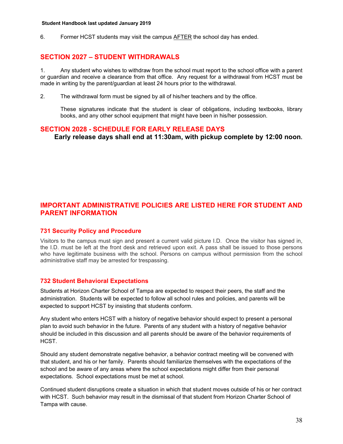6. Former HCST students may visit the campus AFTER the school day has ended.

## **SECTION 2027 – STUDENT WITHDRAWALS**

1. Any student who wishes to withdraw from the school must report to the school office with a parent or guardian and receive a clearance from that office. Any request for a withdrawal from HCST must be made in writing by the parent/guardian at least 24 hours prior to the withdrawal.

2. The withdrawal form must be signed by all of his/her teachers and by the office.

These signatures indicate that the student is clear of obligations, including textbooks, library books, and any other school equipment that might have been in his/her possession.

## **SECTION 2028 - SCHEDULE FOR EARLY RELEASE DAYS**

 **Early release days shall end at 11:30am, with pickup complete by 12:00 noon.** 

## **IMPORTANT ADMINISTRATIVE POLICIES ARE LISTED HERE FOR STUDENT AND PARENT INFORMATION**

## **731 Security Policy and Procedure**

Visitors to the campus must sign and present a current valid picture I.D. Once the visitor has signed in, the I.D. must be left at the front desk and retrieved upon exit. A pass shall be issued to those persons who have legitimate business with the school. Persons on campus without permission from the school administrative staff may be arrested for trespassing.

## **732 Student Behavioral Expectations**

Students at Horizon Charter School of Tampa are expected to respect their peers, the staff and the administration. Students will be expected to follow all school rules and policies, and parents will be expected to support HCST by insisting that students conform.

Any student who enters HCST with a history of negative behavior should expect to present a personal plan to avoid such behavior in the future. Parents of any student with a history of negative behavior should be included in this discussion and all parents should be aware of the behavior requirements of HCST.

Should any student demonstrate negative behavior, a behavior contract meeting will be convened with that student, and his or her family. Parents should familiarize themselves with the expectations of the school and be aware of any areas where the school expectations might differ from their personal expectations. School expectations must be met at school.

Continued student disruptions create a situation in which that student moves outside of his or her contract with HCST. Such behavior may result in the dismissal of that student from Horizon Charter School of Tampa with cause.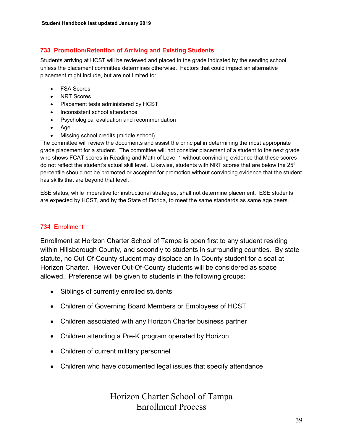## **733 Promotion/Retention of Arriving and Existing Students**

Students arriving at HCST will be reviewed and placed in the grade indicated by the sending school unless the placement committee determines otherwise. Factors that could impact an alternative placement might include, but are not limited to:

- FSA Scores
- NRT Scores
- Placement tests administered by HCST
- Inconsistent school attendance
- Psychological evaluation and recommendation
- Age
- Missing school credits (middle school)

The committee will review the documents and assist the principal in determining the most appropriate grade placement for a student. The committee will not consider placement of a student to the next grade who shows FCAT scores in Reading and Math of Level 1 without convincing evidence that these scores do not reflect the student's actual skill level. Likewise, students with NRT scores that are below the 25<sup>th</sup> percentile should not be promoted or accepted for promotion without convincing evidence that the student has skills that are beyond that level.

ESE status, while imperative for instructional strategies, shall not determine placement. ESE students are expected by HCST, and by the State of Florida, to meet the same standards as same age peers.

## 734 Enrollment

Enrollment at Horizon Charter School of Tampa is open first to any student residing within Hillsborough County, and secondly to students in surrounding counties. By state statute, no Out-Of-County student may displace an In-County student for a seat at Horizon Charter. However Out-Of-County students will be considered as space allowed. Preference will be given to students in the following groups:

- Siblings of currently enrolled students
- Children of Governing Board Members or Employees of HCST
- Children associated with any Horizon Charter business partner
- Children attending a Pre-K program operated by Horizon
- Children of current military personnel
- Children who have documented legal issues that specify attendance

Horizon Charter School of Tampa Enrollment Process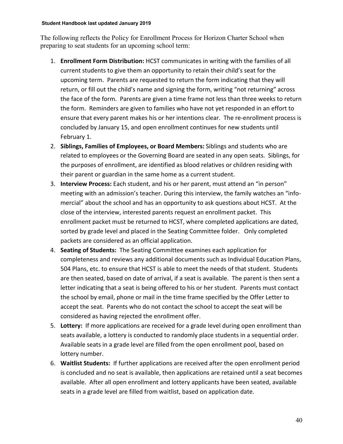The following reflects the Policy for Enrollment Process for Horizon Charter School when preparing to seat students for an upcoming school term:

- 1. **Enrollment Form Distribution:** HCST communicates in writing with the families of all current students to give them an opportunity to retain their child's seat for the upcoming term. Parents are requested to return the form indicating that they will return, or fill out the child's name and signing the form, writing "not returning" across the face of the form. Parents are given a time frame not less than three weeks to return the form. Reminders are given to families who have not yet responded in an effort to ensure that every parent makes his or her intentions clear. The re-enrollment process is concluded by January 15, and open enrollment continues for new students until February 1.
- 2. **Siblings, Families of Employees, or Board Members:** Siblings and students who are related to employees or the Governing Board are seated in any open seats. Siblings, for the purposes of enrollment, are identified as blood relatives or children residing with their parent or guardian in the same home as a current student.
- 3. **Interview Process:** Each student, and his or her parent, must attend an "in person" meeting with an admission's teacher. During this interview, the family watches an "infomercial" about the school and has an opportunity to ask questions about HCST. At the close of the interview, interested parents request an enrollment packet. This enrollment packet must be returned to HCST, where completed applications are dated, sorted by grade level and placed in the Seating Committee folder. Only completed packets are considered as an official application.
- 4. **Seating of Students:** The Seating Committee examines each application for completeness and reviews any additional documents such as Individual Education Plans, 504 Plans, etc. to ensure that HCST is able to meet the needs of that student. Students are then seated, based on date of arrival, if a seat is available. The parent is then sent a letter indicating that a seat is being offered to his or her student. Parents must contact the school by email, phone or mail in the time frame specified by the Offer Letter to accept the seat. Parents who do not contact the school to accept the seat will be considered as having rejected the enrollment offer.
- 5. **Lottery:** If more applications are received for a grade level during open enrollment than seats available, a lottery is conducted to randomly place students in a sequential order. Available seats in a grade level are filled from the open enrollment pool, based on lottery number.
- 6. **Waitlist Students:** If further applications are received after the open enrollment period is concluded and no seat is available, then applications are retained until a seat becomes available. After all open enrollment and lottery applicants have been seated, available seats in a grade level are filled from waitlist, based on application date.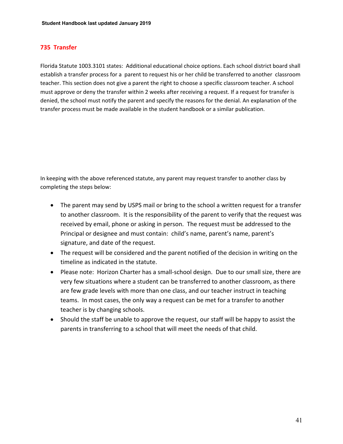## **735 Transfer**

Florida Statute 1003.3101 states: Additional educational choice options. Each school district board shall establish a transfer process for a parent to request his or her child be transferred to another classroom teacher. This section does not give a parent the right to choose a specific classroom teacher. A school must approve or deny the transfer within 2 weeks after receiving a request. If a request for transfer is denied, the school must notify the parent and specify the reasons for the denial. An explanation of the transfer process must be made available in the student handbook or a similar publication.

In keeping with the above referenced statute, any parent may request transfer to another class by completing the steps below:

- The parent may send by USPS mail or bring to the school a written request for a transfer to another classroom. It is the responsibility of the parent to verify that the request was received by email, phone or asking in person. The request must be addressed to the Principal or designee and must contain: child's name, parent's name, parent's signature, and date of the request.
- The request will be considered and the parent notified of the decision in writing on the timeline as indicated in the statute.
- Please note: Horizon Charter has a small-school design. Due to our small size, there are very few situations where a student can be transferred to another classroom, as there are few grade levels with more than one class, and our teacher instruct in teaching teams. In most cases, the only way a request can be met for a transfer to another teacher is by changing schools.
- Should the staff be unable to approve the request, our staff will be happy to assist the parents in transferring to a school that will meet the needs of that child.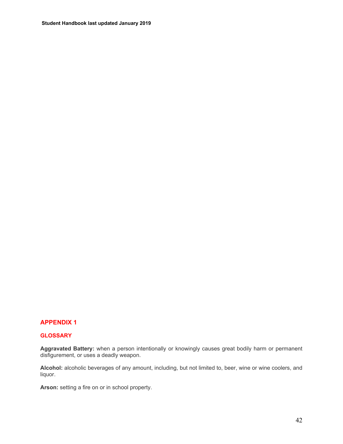## **APPENDIX 1**

#### **GLOSSARY**

**Aggravated Battery:** when a person intentionally or knowingly causes great bodily harm or permanent disfigurement, or uses a deadly weapon.

**Alcohol:** alcoholic beverages of any amount, including, but not limited to, beer, wine or wine coolers, and liquor.

**Arson:** setting a fire on or in school property.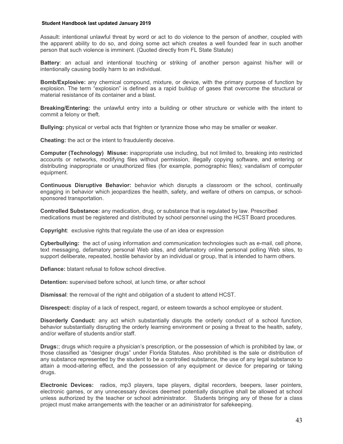Assault: intentional unlawful threat by word or act to do violence to the person of another, coupled with the apparent ability to do so, and doing some act which creates a well founded fear in such another person that such violence is imminent. (Quoted directly from FL State Statute)

**Battery**: an actual and intentional touching or striking of another person against his/her will or intentionally causing bodily harm to an individual.

**Bomb/Explosive:** any chemical compound, mixture, or device, with the primary purpose of function by explosion. The term "explosion" is defined as a rapid buildup of gases that overcome the structural or material resistance of its container and a blast.

**Breaking/Entering:** the unlawful entry into a building or other structure or vehicle with the intent to commit a felony or theft.

**Bullying:** physical or verbal acts that frighten or tyrannize those who may be smaller or weaker.

**Cheating:** the act or the intent to fraudulently deceive.

**Computer (Technology) Misuse:** inappropriate use including, but not limited to, breaking into restricted accounts or networks, modifying files without permission, illegally copying software, and entering or distributing inappropriate or unauthorized files (for example, pornographic files); vandalism of computer equipment.

**Continuous Disruptive Behavior:** behavior which disrupts a classroom or the school, continually engaging in behavior which jeopardizes the health, safety, and welfare of others on campus, or schoolsponsored transportation.

**Controlled Substance:** any medication, drug, or substance that is regulated by law. Prescribed medications must be registered and distributed by school personnel using the HCST Board procedures.

**Copyright**: exclusive rights that regulate the use of an idea or expression

**Cyberbullying:** the act of using information and communication technologies such as e-mail, cell phone, text messaging, defamatory personal Web sites, and defamatory online personal polling Web sites, to support deliberate, repeated, hostile behavior by an individual or group, that is intended to harm others.

**Defiance:** blatant refusal to follow school directive.

**Detention:** supervised before school, at lunch time, or after school

**Dismissal**: the removal of the right and obligation of a student to attend HCST.

**Disrespect:** display of a lack of respect, regard, or esteem towards a school employee or student.

**Disorderly Conduct:** any act which substantially disrupts the orderly conduct of a school function, behavior substantially disrupting the orderly learning environment or posing a threat to the health, safety, and/or welfare of students and/or staff.

**Drugs:**; drugs which require a physician's prescription, or the possession of which is prohibited by law, or those classified as "designer drugs" under Florida Statutes. Also prohibited is the sale or distribution of any substance represented by the student to be a controlled substance, the use of any legal substance to attain a mood-altering effect, and the possession of any equipment or device for preparing or taking drugs.

**Electronic Devices:** radios, mp3 players, tape players, digital recorders, beepers, laser pointers, electronic games, or any unnecessary devices deemed potentially disruptive shall be allowed at school unless authorized by the teacher or school administrator. Students bringing any of these for a class project must make arrangements with the teacher or an administrator for safekeeping.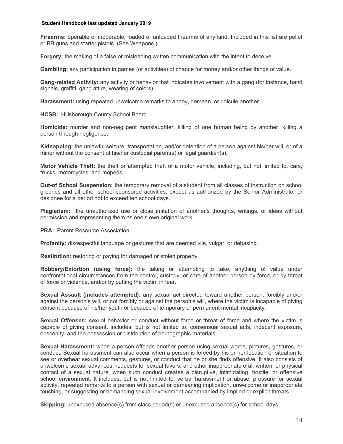**Firearms:** operable or inoperable, loaded or unloaded firearms of any kind. Included in this list are pellet or BB guns and starter pistols. (See Weapons.)

**Forgery:** the making of a false or misleading written communication with the intent to deceive.

**Gambling:** any participation in games (or activities) of chance for money and/or other things of value.

**Gang-related Activity:** any activity or behavior that indicates involvement with a gang (for instance, hand signals, graffiti, gang attire, wearing of colors).

**Harassment:** using repeated unwelcome remarks to annoy, demean, or ridicule another.

**HCSB:** Hillsborough County School Board.

**Homicide:** murder and non-negligent manslaughter, killing of one human being by another, killing a person through negligence.

**Kidnapping:** the unlawful seizure, transportation, and/or detention of a person against his/her will, or of a minor without the consent of his/her custodial parent(s) or legal guardian(s).

**Motor Vehicle Theft:** the theft or attempted theft of a motor vehicle, including, but not limited to, cars, trucks, motorcycles, and mopeds.

**Out-of School Suspension:** the temporary removal of a student from all classes of instruction on school grounds and all other school-sponsored activities, except as authorized by the Senior Administrator or designee for a period not to exceed ten school days.

**Plagiarism:** the unauthorized use or close imitation of another's thoughts, writings, or ideas without permission and representing them as one's own original work

**PRA: Parent Resource Association.** 

**Profanity:** disrespectful language or gestures that are deemed vile, vulgar, or debasing.

**Restitution:** restoring or paying for damaged or stolen property.

**Robbery/Extortion (using force):** the taking or attempting to take, anything of value under confrontational circumstances from the control, custody, or care of another person by force, or by threat of force or violence, and/or by putting the victim in fear.

**Sexual Assault (includes attempted):** any sexual act directed toward another person, forcibly and/or against the person's will, or not forcibly or against the person's will, where the victim is incapable of giving consent because of his/her youth or because of temporary or permanent mental incapacity.

**Sexual Offenses:** sexual behavior or conduct without force or threat of force and where the victim is capable of giving consent, includes, but is not limited to, consensual sexual acts, indecent exposure, obscenity, and the possession or distribution of pornographic materials.

**Sexual Harassment:** when a person offends another person using sexual words, pictures, gestures, or conduct. Sexual harassment can also occur when a person is forced by his or her location or situation to see or overhear sexual comments, gestures, or conduct that he or she finds offensive. It also consists of unwelcome sexual advances, requests for sexual favors, and other inappropriate oral, written, or physical contact of a sexual nature, when such conduct creates a disruptive, intimidating, hostile, or offensive school environment. It includes, but is not limited to, verbal harassment or abuse, pressure for sexual activity, repeated remarks to a person with sexual or demeaning implication, unwelcome or inappropriate touching, or suggesting or demanding sexual involvement accompanied by implied or explicit threats.

**Skipping:** unexcused absence(s) from class period(s) or unexcused absence(s) for school days.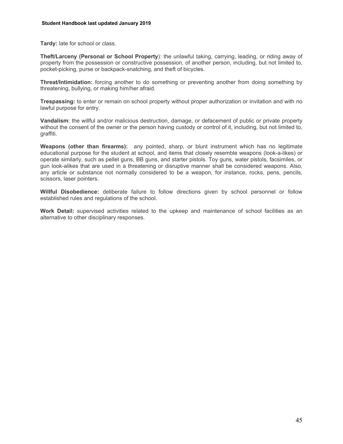**Tardy:** late for school or class.

**Theft/Larceny (Personal or School Property**): the unlawful taking, carrying, leading, or riding away of property from the possession or constructive possession, of another person, including, but not limited to, pocket-picking, purse or backpack-snatching, and theft of bicycles.

**Threat/Intimidation:** forcing another to do something or preventing another from doing something by threatening, bullying, or making him/her afraid.

**Trespassing:** to enter or remain on school property without proper authorization or invitation and with no lawful purpose for entry.

**Vandalism**: the willful and/or malicious destruction, damage, or defacement of public or private property without the consent of the owner or the person having custody or control of it, including, but not limited to, graffiti.

**Weapons (other than firearms):** any pointed, sharp, or blunt instrument which has no legitimate educational purpose for the student at school, and items that closely resemble weapons (look-a-likes) or operate similarly, such as pellet guns, BB guns, and starter pistols. Toy guns, water pistols, facsimiles, or gun look-alikes that are used in a threatening or disruptive manner shall be considered weapons. Also, any article or substance not normally considered to be a weapon, for instance, rocks, pens, pencils, scissors, laser pointers.

**Willful Disobedience:** deliberate failure to follow directions given by school personnel or follow established rules and regulations of the school.

**Work Detail:** supervised activities related to the upkeep and maintenance of school facilities as an alternative to other disciplinary responses.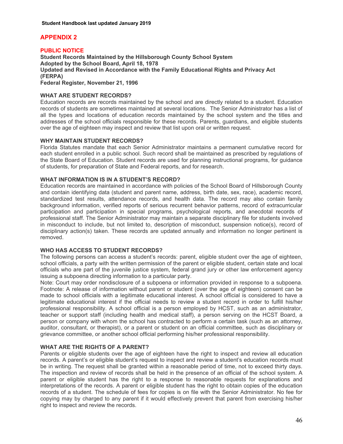## **APPENDIX 2**

**PUBLIC NOTICE Student Records Maintained by the Hillsborough County School System Adopted by the School Board, April 18, 1978 Updated and Revised in Accordance with the Family Educational Rights and Privacy Act (FERPA) Federal Register, November 21, 1996** 

### **WHAT ARE STUDENT RECORDS?**

Education records are records maintained by the school and are directly related to a student. Education records of students are sometimes maintained at several locations. The Senior Administrator has a list of all the types and locations of education records maintained by the school system and the titles and addresses of the school officials responsible for these records. Parents, guardians, and eligible students over the age of eighteen may inspect and review that list upon oral or written request.

#### **WHY MAINTAIN STUDENT RECORDS?**

Florida Statutes mandate that each Senior Administrator maintains a permanent cumulative record for each student enrolled in a public school. Such record shall be maintained as prescribed by regulations of the State Board of Education. Student records are used for planning instructional programs, for guidance of students, for preparation of State and Federal reports, and for research.

#### **WHAT INFORMATION IS IN A STUDENT'S RECORD?**

Education records are maintained in accordance with policies of the School Board of Hillsborough County and contain identifying data (student and parent name, address, birth date, sex, race), academic record, standardized test results, attendance records, and health data. The record may also contain family background information, verified reports of serious recurrent behavior patterns, record of extracurricular participation and participation in special programs, psychological reports, and anecdotal records of professional staff. The Senior Administrator may maintain a separate disciplinary file for students involved in misconduct to include, but not limited to, description of misconduct, suspension notice(s), record of disciplinary action(s) taken. These records are updated annually and information no longer pertinent is removed.

## **WHO HAS ACCESS TO STUDENT RECORDS?**

The following persons can access a student's records: parent, eligible student over the age of eighteen, school officials, a party with the written permission of the parent or eligible student, certain state and local officials who are part of the juvenile justice system, federal grand jury or other law enforcement agency issuing a subpoena directing information to a particular party.

Note: Court may order nondisclosure of a subpoena or information provided in response to a subpoena. Footnote: A release of information without parent or student (over the age of eighteen) consent can be made to school officials with a legitimate educational interest. A school official is considered to have a legitimate educational interest if the official needs to review a student record in order to fulfill his/her professional responsibility. A school official is a person employed by HCST, such as an administrator, teacher or support staff (including health and medical staff), a person serving on the HCST Board, a person or company with whom the school has contracted to perform a certain task (such as an attorney, auditor, consultant, or therapist), or a parent or student on an official committee, such as disciplinary or grievance committee, or another school official performing his/her professional responsibility.

## **WHAT ARE THE RIGHTS OF A PARENT?**

Parents or eligible students over the age of eighteen have the right to inspect and review all education records. A parent's or eligible student's request to inspect and review a student's education records must be in writing. The request shall be granted within a reasonable period of time, not to exceed thirty days. The inspection and review of records shall be held in the presence of an official of the school system. A parent or eligible student has the right to a response to reasonable requests for explanations and interpretations of the records. A parent or eligible student has the right to obtain copies of the education records of a student. The schedule of fees for copies is on file with the Senior Administrator. No fee for copying may by charged to any parent if it would effectively prevent that parent from exercising his/her right to inspect and review the records.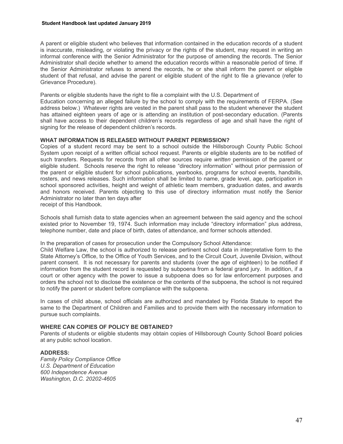A parent or eligible student who believes that information contained in the education records of a student is inaccurate, misleading, or violating the privacy or the rights of the student, may request in writing an informal conference with the Senior Administrator for the purpose of amending the records. The Senior Administrator shall decide whether to amend the education records within a reasonable period of time. If the Senior Administrator refuses to amend the records, he or she shall inform the parent or eligible student of that refusal, and advise the parent or eligible student of the right to file a grievance (refer to Grievance Procedure).

Parents or eligible students have the right to file a complaint with the U.S. Department of

Education concerning an alleged failure by the school to comply with the requirements of FERPA. (See address below.) Whatever rights are vested in the parent shall pass to the student whenever the student has attained eighteen years of age or is attending an institution of post-secondary education. (Parents shall have access to their dependent children's records regardless of age and shall have the right of signing for the release of dependent children's records.

#### **WHAT INFORMATION IS RELEASED WITHOUT PARENT PERMISSION?**

Copies of a student record may be sent to a school outside the Hillsborough County Public School System upon receipt of a written official school request. Parents or eligible students are to be notified of such transfers. Requests for records from all other sources require *written* permission of the parent or eligible student. Schools reserve the right to release "directory information" without prior permission of the parent or eligible student for school publications, yearbooks, programs for school events, handbills, rosters, and news releases. Such information shall be limited to name, grade level, age, participation in school sponsored activities, height and weight of athletic team members, graduation dates, and awards and honors received. Parents objecting to this use of directory information must notify the Senior Administrator no later than ten days after

receipt of this Handbook.

Schools shall furnish data to state agencies when an agreement between the said agency and the school existed prior to November 19, 1974. Such information may include "directory information" plus address, telephone number, date and place of birth, dates of attendance, and former schools attended.

In the preparation of cases for prosecution under the Compulsory School Attendance:

Child Welfare Law, the school is authorized to release pertinent school data in interpretative form to the State Attorney's Office, to the Office of Youth Services, and to the Circuit Court, Juvenile Division, without parent consent. It is not necessary for parents and students (over the age of eighteen) to be notified if information from the student record is requested by subpoena from a federal grand jury. In addition, if a court or other agency with the power to issue a subpoena does so for law enforcement purposes and orders the school not to disclose the existence or the contents of the subpoena, the school is not required to notify the parent or student before compliance with the subpoena.

In cases of child abuse, school officials are authorized and mandated by Florida Statute to report the same to the Department of Children and Families and to provide them with the necessary information to pursue such complaints.

#### **WHERE CAN COPIES OF POLICY BE OBTAINED?**

Parents of students or eligible students may obtain copies of Hillsborough County School Board policies at any public school location.

#### **ADDRESS:**

*Family Policy Compliance Office U.S. Department of Education 600 Independence Avenue Washington, D.C. 20202-4605*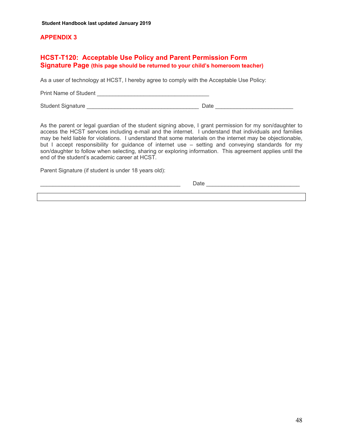## **APPENDIX 3**

## **HCST-T120: Acceptable Use Policy and Parent Permission Form Signature Page (this page should be returned to your child's homeroom teacher)**

As a user of technology at HCST, I hereby agree to comply with the Acceptable Use Policy:

Print Name of Student \_\_\_\_\_\_\_\_\_\_\_\_\_\_\_\_\_\_\_\_\_\_\_\_\_\_\_\_\_\_\_\_\_\_\_\_

Student Signature \_\_\_\_\_\_\_\_\_\_\_\_\_\_\_\_\_\_\_\_\_\_\_\_\_\_\_\_\_\_\_\_\_\_\_\_ Date \_\_\_\_\_\_\_\_\_\_\_\_\_\_\_\_\_\_\_\_\_\_\_\_\_

As the parent or legal guardian of the student signing above, I grant permission for my son/daughter to access the HCST services including e-mail and the internet. I understand that individuals and families may be held liable for violations. I understand that some materials on the internet may be objectionable, but I accept responsibility for guidance of internet use – setting and conveying standards for my son/daughter to follow when selecting, sharing or exploring information. This agreement applies until the end of the student's academic career at HCST.

Parent Signature (if student is under 18 years old):

\_\_\_\_\_\_\_\_\_\_\_\_\_\_\_\_\_\_\_\_\_\_\_\_\_\_\_\_\_\_\_\_\_\_\_\_\_\_\_\_\_\_\_\_\_ Date \_\_\_\_\_\_\_\_\_\_\_\_\_\_\_\_\_\_\_\_\_\_\_\_\_\_\_\_\_\_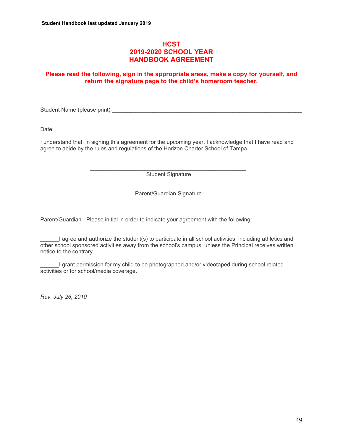## **HCST 2019-2020 SCHOOL YEAR HANDBOOK AGREEMENT**

## **Please read the following, sign in the appropriate areas, make a copy for yourself, and return the signature page to the child's homeroom teacher.**

Student Name (please print) **Example 20** and the student of the student  $\mathbf{S}$  and  $\mathbf{S}$  and  $\mathbf{S}$  and  $\mathbf{S}$  and  $\mathbf{S}$  and  $\mathbf{S}$  are students of the students of the students of the students of the students

Date: 2008. 2008. 2008. 2008. 2008. 2008. 2008. 2008. 2008. 2009. 2009. 2009. 2009. 2009. 2009. 2009. 2009. 20

I understand that, in signing this agreement for the upcoming year, I acknowledge that I have read and agree to abide by the rules and regulations of the Horizon Charter School of Tampa.

Student Signature

 $\overline{\phantom{a}}$  ,  $\overline{\phantom{a}}$  ,  $\overline{\phantom{a}}$  ,  $\overline{\phantom{a}}$  ,  $\overline{\phantom{a}}$  ,  $\overline{\phantom{a}}$  ,  $\overline{\phantom{a}}$  ,  $\overline{\phantom{a}}$  ,  $\overline{\phantom{a}}$  ,  $\overline{\phantom{a}}$  ,  $\overline{\phantom{a}}$  ,  $\overline{\phantom{a}}$  ,  $\overline{\phantom{a}}$  ,  $\overline{\phantom{a}}$  ,  $\overline{\phantom{a}}$  ,  $\overline{\phantom{a}}$ Parent/Guardian Signature

Parent/Guardian - Please initial in order to indicate your agreement with the following:

 $\overline{\phantom{a}}$  ,  $\overline{\phantom{a}}$  ,  $\overline{\phantom{a}}$  ,  $\overline{\phantom{a}}$  ,  $\overline{\phantom{a}}$  ,  $\overline{\phantom{a}}$  ,  $\overline{\phantom{a}}$  ,  $\overline{\phantom{a}}$  ,  $\overline{\phantom{a}}$  ,  $\overline{\phantom{a}}$  ,  $\overline{\phantom{a}}$  ,  $\overline{\phantom{a}}$  ,  $\overline{\phantom{a}}$  ,  $\overline{\phantom{a}}$  ,  $\overline{\phantom{a}}$  ,  $\overline{\phantom{a}}$ 

\_\_\_\_\_\_I agree and authorize the student(s) to participate in all school activities, including athletics and other school sponsored activities away from the school's campus, unless the Principal receives written notice to the contrary.

I grant permission for my child to be photographed and/or videotaped during school related activities or for school/media coverage.

*Rev. July 26, 2010*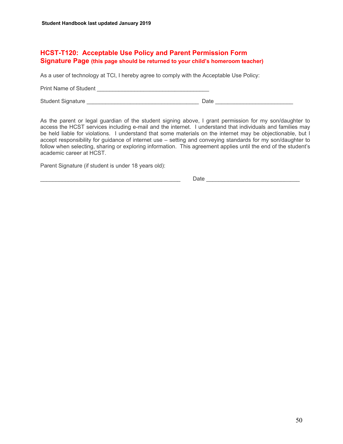## **HCST-T120: Acceptable Use Policy and Parent Permission Form Signature Page (this page should be returned to your child's homeroom teacher)**

As a user of technology at TCl, I hereby agree to comply with the Acceptable Use Policy:

Print Name of Student \_\_\_\_\_\_\_\_\_\_\_\_\_\_\_\_\_\_\_\_\_\_\_\_\_\_\_\_\_\_\_\_\_\_\_\_

Student Signature \_\_\_\_\_\_\_\_\_\_\_\_\_\_\_\_\_\_\_\_\_\_\_\_\_\_\_\_\_\_\_\_\_\_\_\_ Date \_\_\_\_\_\_\_\_\_\_\_\_\_\_\_\_\_\_\_\_\_\_\_\_\_

As the parent or legal guardian of the student signing above, I grant permission for my son/daughter to access the HCST services including e-mail and the internet. I understand that individuals and families may be held liable for violations. I understand that some materials on the internet may be objectionable, but I accept responsibility for guidance of internet use – setting and conveying standards for my son/daughter to follow when selecting, sharing or exploring information. This agreement applies until the end of the student's academic career at HCST.

Parent Signature (if student is under 18 years old):

\_\_\_\_\_\_\_\_\_\_\_\_\_\_\_\_\_\_\_\_\_\_\_\_\_\_\_\_\_\_\_\_\_\_\_\_\_\_\_\_\_\_\_\_\_ Date \_\_\_\_\_\_\_\_\_\_\_\_\_\_\_\_\_\_\_\_\_\_\_\_\_\_\_\_\_\_